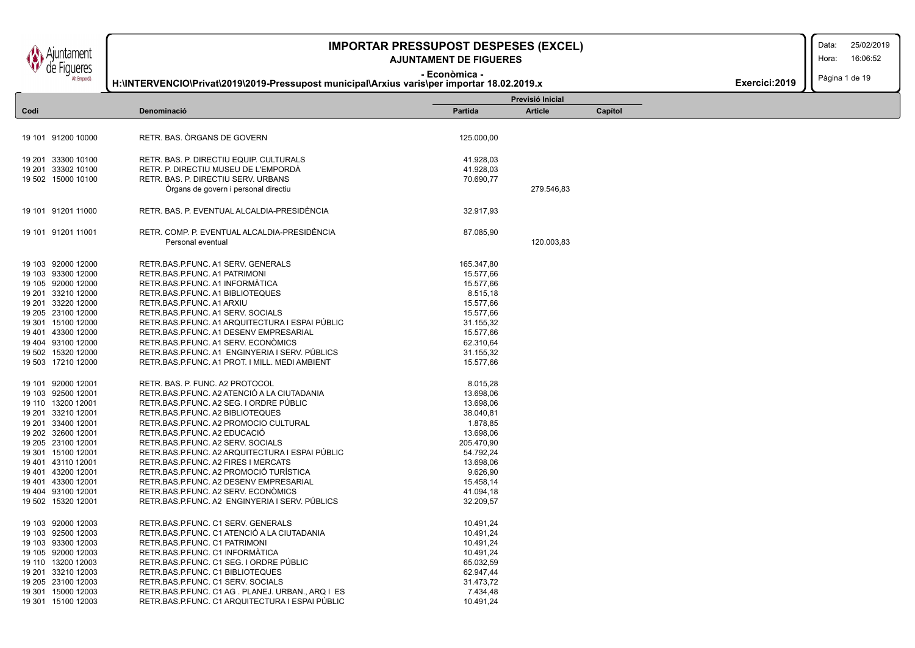**H:\INTERVENCIO\Privat\2019\2019-Pressupost municipal\Arxius varis\per importar 18.02.2019.x**

### **- Econòmica - AJUNTAMENT DE FIGUERES**

Data:

Hora: 16:06:52

Pàgina 1 de 19

| Exercici:2019 $\blacksquare$ |  |
|------------------------------|--|
|------------------------------|--|

|      |                    |                                                  |            | Previsió Inicial |         |  |
|------|--------------------|--------------------------------------------------|------------|------------------|---------|--|
| Codi |                    | Denominació                                      | Partida    | <b>Article</b>   | Capítol |  |
|      |                    |                                                  |            |                  |         |  |
|      | 19 101 91200 10000 | RETR. BAS. ORGANS DE GOVERN                      | 125.000,00 |                  |         |  |
|      |                    |                                                  |            |                  |         |  |
|      | 19 201 33300 10100 | RETR. BAS. P. DIRECTIU EQUIP. CULTURALS          | 41.928,03  |                  |         |  |
|      | 19 201 33302 10100 | RETR. P. DIRECTIU MUSEU DE L'EMPORDÀ             | 41.928,03  |                  |         |  |
|      | 19 502 15000 10100 | RETR. BAS. P. DIRECTIU SERV. URBANS              | 70.690,77  |                  |         |  |
|      |                    | Organs de govern i personal directiu             |            | 279.546,83       |         |  |
|      | 19 101 91201 11000 | RETR. BAS. P. EVENTUAL ALCALDIA-PRESIDÈNCIA      | 32.917,93  |                  |         |  |
|      | 19 101 91201 11001 | RETR. COMP. P. EVENTUAL ALCALDIA-PRESIDÈNCIA     | 87.085,90  |                  |         |  |
|      |                    | Personal eventual                                |            | 120.003,83       |         |  |
|      |                    |                                                  |            |                  |         |  |
|      | 19 103 92000 12000 | RETR.BAS.P.FUNC. A1 SERV. GENERALS               | 165.347,80 |                  |         |  |
|      | 19 103 93300 12000 | RETR.BAS.P.FUNC. A1 PATRIMONI                    | 15.577,66  |                  |         |  |
|      | 19 105 92000 12000 | RETR.BAS.P.FUNC. A1 INFORMATICA                  | 15.577,66  |                  |         |  |
|      | 19 201 33210 12000 | RETR.BAS.P.FUNC. A1 BIBLIOTEQUES                 | 8.515,18   |                  |         |  |
|      | 19 201 33220 12000 | RETR.BAS.P.FUNC. A1 ARXIU                        | 15.577,66  |                  |         |  |
|      | 19 205 23100 12000 | RETR.BAS.P.FUNC. A1 SERV. SOCIALS                | 15.577,66  |                  |         |  |
|      | 19 301 15100 12000 | RETR.BAS.P.FUNC. A1 ARQUITECTURA I ESPAI PÚBLIC  | 31.155,32  |                  |         |  |
|      | 19 401 43300 12000 | RETR.BAS.P.FUNC. A1 DESENV EMPRESARIAL           | 15.577,66  |                  |         |  |
|      | 19 404 93100 12000 | RETR.BAS.P.FUNC. A1 SERV. ECONÓMICS              | 62.310,64  |                  |         |  |
|      | 19 502 15320 12000 | RETR.BAS.P.FUNC. A1 ENGINYERIA I SERV. PÚBLICS   | 31.155,32  |                  |         |  |
|      | 19 503 17210 12000 | RETR.BAS.P.FUNC. A1 PROT. I MILL. MEDI AMBIENT   | 15.577,66  |                  |         |  |
|      | 19 101 92000 12001 | RETR. BAS. P. FUNC. A2 PROTOCOL                  | 8.015,28   |                  |         |  |
|      | 19 103 92500 12001 | RETR.BAS.P.FUNC. A2 ATENCIÓ A LA CIUTADANIA      | 13.698,06  |                  |         |  |
|      | 19 110 13200 12001 | RETR.BAS.P.FUNC. A2 SEG. I ORDRE PÚBLIC          | 13.698,06  |                  |         |  |
|      | 19 201 33210 12001 | RETR.BAS.P.FUNC. A2 BIBLIOTEQUES                 | 38.040,81  |                  |         |  |
|      | 19 201 33400 12001 | RETR.BAS.P.FUNC. A2 PROMOCIO CULTURAL            | 1.878,85   |                  |         |  |
|      | 19 202 32600 12001 | RETR.BAS.P.FUNC. A2 EDUCACIÓ                     | 13.698,06  |                  |         |  |
|      | 19 205 23100 12001 | RETR.BAS.P.FUNC. A2 SERV. SOCIALS                | 205.470,90 |                  |         |  |
|      | 19 301 15100 12001 | RETR.BAS.P.FUNC. A2 ARQUITECTURA I ESPAI PÚBLIC  | 54.792,24  |                  |         |  |
|      | 19 401 43110 12001 | RETR.BAS.P.FUNC. A2 FIRES I MERCATS              | 13.698,06  |                  |         |  |
|      | 19 401 43200 12001 | RETR.BAS.P.FUNC. A2 PROMOCIÓ TURÍSTICA           | 9.626,90   |                  |         |  |
|      | 19 401 43300 12001 | RETR.BAS.P.FUNC. A2 DESENV EMPRESARIAL           | 15.458,14  |                  |         |  |
|      | 19 404 93100 12001 | RETR.BAS.P.FUNC. A2 SERV. ECONÓMICS              | 41.094,18  |                  |         |  |
|      | 19 502 15320 12001 | RETR.BAS.P.FUNC. A2 ENGINYERIA I SERV. PÚBLICS   | 32.209,57  |                  |         |  |
|      | 19 103 92000 12003 | RETR.BAS.P.FUNC. C1 SERV. GENERALS               | 10.491,24  |                  |         |  |
|      | 19 103 92500 12003 | RETR.BAS.P.FUNC. C1 ATENCIÓ A LA CIUTADANIA      | 10.491,24  |                  |         |  |
|      | 19 103 93300 12003 | RETR.BAS.P.FUNC. C1 PATRIMONI                    | 10.491,24  |                  |         |  |
|      | 19 105 92000 12003 | RETR.BAS.P.FUNC. C1 INFORMATICA                  | 10.491,24  |                  |         |  |
|      | 19 110 13200 12003 | RETR.BAS.P.FUNC. C1 SEG. I ORDRE PÚBLIC          | 65.032,59  |                  |         |  |
|      | 19 201 33210 12003 | RETR.BAS.P.FUNC. C1 BIBLIOTEQUES                 | 62.947,44  |                  |         |  |
|      | 19 205 23100 12003 | RETR.BAS.P.FUNC. C1 SERV. SOCIALS                | 31.473,72  |                  |         |  |
|      | 19 301 15000 12003 | RETR.BAS.P.FUNC. C1 AG. PLANEJ. URBAN., ARQ I ES | 7.434,48   |                  |         |  |
|      | 19 301 15100 12003 | RETR.BAS.P.FUNC. C1 ARQUITECTURA I ESPAI PÚBLIC  | 10.491.24  |                  |         |  |

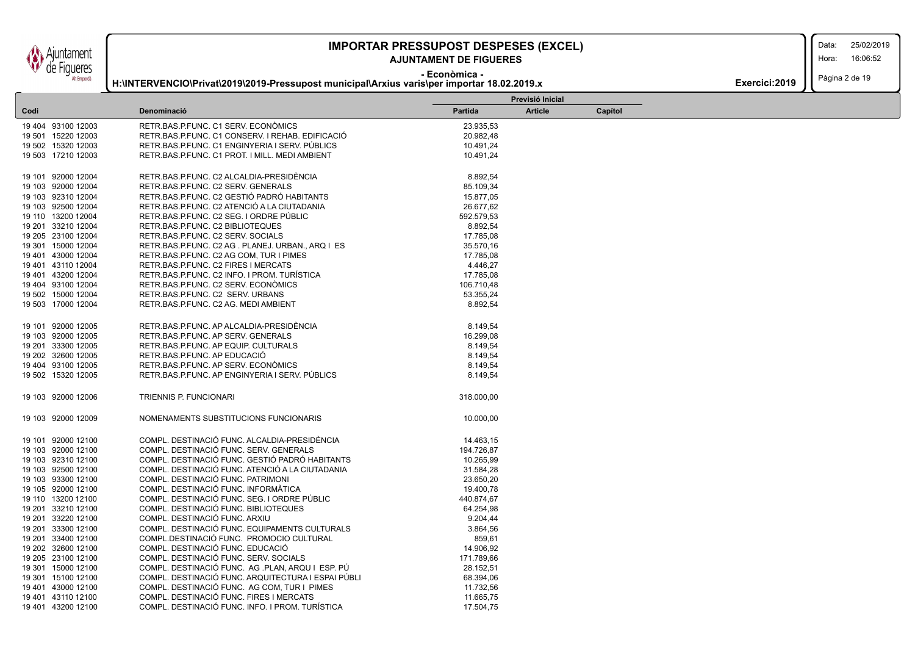**H:\INTERVENCIO\Privat\2019\2019-Pressupost municipal\Arxius varis\per importar 18.02.2019.x**

### **- Econòmica - AJUNTAMENT DE FIGUERES**

Data:

Hora: 16:06:52

| Exercici: 2019 | Pàgina 2 de 19 |
|----------------|----------------|
|----------------|----------------|

|                    |                                                    | Previsió Inicial |                |         |  |  |
|--------------------|----------------------------------------------------|------------------|----------------|---------|--|--|
| Codi               | Denominació                                        | <b>Partida</b>   | <b>Article</b> | Capítol |  |  |
| 19 404 93100 12003 | RETR.BAS.P.FUNC. C1 SERV. ECONÓMICS                | 23.935,53        |                |         |  |  |
| 19 501 15220 12003 | RETR.BAS.P.FUNC. C1 CONSERV. I REHAB. EDIFICACIÓ   | 20.982,48        |                |         |  |  |
| 19 502 15320 12003 | RETR.BAS.P.FUNC. C1 ENGINYERIA I SERV. PUBLICS     | 10.491,24        |                |         |  |  |
| 19 503 17210 12003 | RETR.BAS.P.FUNC. C1 PROT. I MILL. MEDI AMBIENT     | 10.491,24        |                |         |  |  |
|                    |                                                    |                  |                |         |  |  |
| 19 101 92000 12004 | RETR.BAS.P.FUNC. C2 ALCALDIA-PRESIDÈNCIA           | 8.892,54         |                |         |  |  |
| 19 103 92000 12004 | RETR.BAS.P.FUNC. C2 SERV. GENERALS                 | 85.109,34        |                |         |  |  |
| 19 103 92310 12004 | RETR.BAS.P.FUNC. C2 GESTIÓ PADRÓ HABITANTS         | 15.877,05        |                |         |  |  |
| 19 103 92500 12004 | RETR.BAS.P.FUNC. C2 ATENCIÓ A LA CIUTADANIA        | 26.677,62        |                |         |  |  |
| 19 110 13200 12004 | RETR.BAS.P.FUNC. C2 SEG. I ORDRE PÚBLIC            | 592.579,53       |                |         |  |  |
| 19 201 33210 12004 | RETR.BAS.P.FUNC. C2 BIBLIOTEQUES                   | 8.892,54         |                |         |  |  |
| 19 205 23100 12004 | RETR.BAS.P.FUNC. C2 SERV. SOCIALS                  | 17.785,08        |                |         |  |  |
| 19 301 15000 12004 | RETR.BAS.P.FUNC. C2 AG. PLANEJ. URBAN., ARQ I ES   | 35.570,16        |                |         |  |  |
| 19 401 43000 12004 | RETR.BAS.P.FUNC. C2 AG COM, TUR I PIMES            | 17.785,08        |                |         |  |  |
| 19 401 43110 12004 | RETR.BAS.P.FUNC. C2 FIRES I MERCATS                | 4.446,27         |                |         |  |  |
| 19 401 43200 12004 | RETR.BAS.P.FUNC. C2 INFO. I PROM. TURISTICA        | 17.785,08        |                |         |  |  |
| 19 404 93100 12004 | RETR.BAS.P.FUNC. C2 SERV. ECONOMICS                | 106.710,48       |                |         |  |  |
| 19 502 15000 12004 | RETR.BAS.P.FUNC. C2 SERV. URBANS                   | 53.355,24        |                |         |  |  |
| 19 503 17000 12004 | RETR.BAS.P.FUNC. C2 AG. MEDI AMBIENT               | 8.892,54         |                |         |  |  |
|                    |                                                    |                  |                |         |  |  |
| 19 101 92000 12005 | RETR.BAS.P.FUNC. AP ALCALDIA-PRESIDÈNCIA           | 8.149,54         |                |         |  |  |
| 19 103 92000 12005 | RETR.BAS.P.FUNC. AP SERV. GENERALS                 | 16.299,08        |                |         |  |  |
| 19 201 33300 12005 | RETR.BAS.P.FUNC. AP EQUIP. CULTURALS               | 8.149,54         |                |         |  |  |
| 19 202 32600 12005 | RETR.BAS.P.FUNC. AP EDUCACIÓ                       | 8.149,54         |                |         |  |  |
| 19 404 93100 12005 | RETR.BAS.P.FUNC. AP SERV. ECONOMICS                | 8.149,54         |                |         |  |  |
| 19 502 15320 12005 | RETR.BAS.P.FUNC. AP ENGINYERIA I SERV. PÚBLICS     | 8.149,54         |                |         |  |  |
|                    |                                                    |                  |                |         |  |  |
| 19 103 92000 12006 | <b>TRIENNIS P. FUNCIONARI</b>                      | 318.000,00       |                |         |  |  |
| 19 103 92000 12009 | NOMENAMENTS SUBSTITUCIONS FUNCIONARIS              | 10.000,00        |                |         |  |  |
| 19 101 92000 12100 | COMPL. DESTINACIÓ FUNC. ALCALDIA-PRESIDÈNCIA       | 14.463,15        |                |         |  |  |
| 19 103 92000 12100 | COMPL. DESTINACIÓ FUNC. SERV. GENERALS             | 194.726,87       |                |         |  |  |
| 19 103 92310 12100 | COMPL. DESTINACIÓ FUNC. GESTIÓ PADRÓ HABITANTS     | 10.265,99        |                |         |  |  |
| 19 103 92500 12100 | COMPL. DESTINACIÓ FUNC. ATENCIÓ A LA CIUTADANIA    | 31.584,28        |                |         |  |  |
| 19 103 93300 12100 | COMPL. DESTINACIÓ FUNC. PATRIMONI                  | 23.650,20        |                |         |  |  |
| 19 105 92000 12100 | COMPL. DESTINACIÓ FUNC. INFORMÀTICA                | 19.400,78        |                |         |  |  |
| 19 110 13200 12100 | COMPL. DESTINACIÓ FUNC. SEG. I ORDRE PÚBLIC        | 440.874,67       |                |         |  |  |
| 19 201 33210 12100 | COMPL. DESTINACIÓ FUNC. BIBLIOTEQUES               | 64.254,98        |                |         |  |  |
| 19 201 33220 12100 | COMPL. DESTINACIÓ FUNC. ARXIU                      | 9.204,44         |                |         |  |  |
| 19 201 33300 12100 | COMPL. DESTINACIÓ FUNC. EQUIPAMENTS CULTURALS      | 3.864,56         |                |         |  |  |
| 19 201 33400 12100 | COMPL.DESTINACIÓ FUNC. PROMOCIO CULTURAL           | 859,61           |                |         |  |  |
| 19 202 32600 12100 | COMPL. DESTINACIÓ FUNC. EDUCACIÓ                   | 14.906,92        |                |         |  |  |
| 19 205 23100 12100 | COMPL. DESTINACIÓ FUNC. SERV. SOCIALS              | 171.789,66       |                |         |  |  |
| 19 301 15000 12100 | COMPL. DESTINACIÓ FUNC. AG .PLAN, ARQU I ESP. PÚ   | 28.152,51        |                |         |  |  |
| 19 301 15100 12100 | COMPL. DESTINACIÓ FUNC. ARQUITECTURA I ESPAI PÚBLI | 68.394,06        |                |         |  |  |
| 19 401 43000 12100 | COMPL. DESTINACIÓ FUNC. AG COM, TUR I PIMES        | 11.732,56        |                |         |  |  |
| 19 401 43110 12100 | COMPL. DESTINACIÓ FUNC. FIRES I MERCATS            | 11.665,75        |                |         |  |  |
| 19 401 43200 12100 | COMPL. DESTINACIÓ FUNC. INFO. I PROM. TURÍSTICA    | 17.504.75        |                |         |  |  |
|                    |                                                    |                  |                |         |  |  |

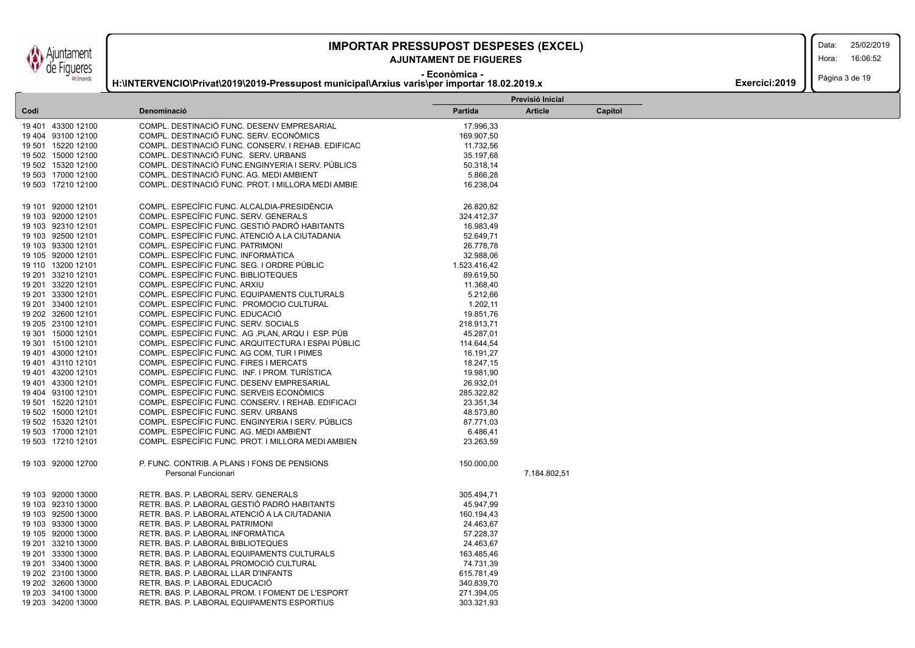### **AJUNTAMENT DE FIGUERES**

Data:

Hora: 16:06:52

Pàgina 3 de 19

| <i>V</i> de Figueres |                                                                                             | AJUNIAMENI DE FIGUERES |                  |         |                |
|----------------------|---------------------------------------------------------------------------------------------|------------------------|------------------|---------|----------------|
| Alt Empordà          | H:\INTERVENCIO\Privat\2019\2019-Pressupost municipal\Arxius varis\per importar 18.02.2019.x | - Econòmica -          |                  |         | Exercici: 2019 |
|                      |                                                                                             |                        | Previsió Inicial |         |                |
| Codi                 | Denominació                                                                                 | Partida                | <b>Article</b>   | Capítol |                |
| 19 401 43300 12100   | COMPL. DESTINACIÓ FUNC. DESENV EMPRESARIAL                                                  | 17.996,33              |                  |         |                |
| 19 404 93100 12100   | COMPL. DESTINACIÓ FUNC. SERV. ECONÒMICS                                                     | 169.907,50             |                  |         |                |
| 19 501 15220 12100   | COMPL. DESTINACIÓ FUNC. CONSERV. I REHAB. EDIFICAC                                          | 11.732,56              |                  |         |                |
| 19 502 15000 12100   | COMPL. DESTINACIÓ FUNC. SERV. URBANS                                                        | 35.197,68              |                  |         |                |
| 19 502 15320 12100   | COMPL. DESTINACIÓ FUNC.ENGINYERIA I SERV. PÚBLICS                                           | 50.318,14              |                  |         |                |
| 19 503 17000 12100   | COMPL. DESTINACIÓ FUNC. AG. MEDI AMBIENT                                                    | 5.866,28               |                  |         |                |
| 19 503 17210 12100   | COMPL. DESTINACIÓ FUNC. PROT. I MILLORA MEDI AMBIE                                          | 16.238,04              |                  |         |                |
| 19 101 92000 12101   | COMPL. ESPECÍFIC FUNC. ALCALDIA-PRESIDÈNCIA                                                 | 26.820,82              |                  |         |                |
| 19 103 92000 12101   | COMPL. ESPECÍFIC FUNC. SERV. GENERALS                                                       | 324.412,37             |                  |         |                |
| 19 103 92310 12101   | COMPL. ESPECÍFIC FUNC. GESTIÓ PADRÓ HABITANTS                                               | 16.983,49              |                  |         |                |
| 19 103 92500 12101   | COMPL. ESPECÍFIC FUNC. ATENCIÓ A LA CIUTADANIA                                              | 52.649,71              |                  |         |                |
| 19 103 93300 12101   | COMPL. ESPECÍFIC FUNC. PATRIMONI                                                            | 26.778,78              |                  |         |                |
| 19 105 92000 12101   | COMPL. ESPECÍFIC FUNC. INFORMÀTICA                                                          | 32.988,06              |                  |         |                |
| 19 110 13200 12101   | COMPL. ESPECÍFIC FUNC. SEG. I ORDRE PÚBLIC                                                  | 1.523.416,42           |                  |         |                |
| 19 201 33210 12101   | COMPL. ESPECÍFIC FUNC. BIBLIOTEQUES                                                         | 89.619,50              |                  |         |                |
| 19 201 33220 12101   | COMPL. ESPECÍFIC FUNC. ARXIU                                                                | 11.368,40              |                  |         |                |
| 19 201 33300 12101   | COMPL. ESPECÍFIC FUNC. EQUIPAMENTS CULTURALS                                                | 5.212,66               |                  |         |                |
| 19 201 33400 12101   | COMPL. ESPECÍFIC FUNC. PROMOCIO CULTURAL                                                    | 1.202,11               |                  |         |                |
| 19 202 32600 12101   | COMPL. ESPECÍFIC FUNC. EDUCACIÓ                                                             | 19.851,76              |                  |         |                |
| 19 205 23100 12101   | COMPL. ESPECÍFIC FUNC. SERV. SOCIALS                                                        | 218.913,71             |                  |         |                |
| 19 301 15000 12101   | COMPL. ESPECÍFIC FUNC. AG .PLAN, ARQU I ESP. PÚB                                            | 45.287,01              |                  |         |                |
| 19 301 15100 12101   | COMPL. ESPECÍFIC FUNC. ARQUITECTURA I ESPAI PÚBLIC                                          | 114.644,54             |                  |         |                |
| 19 401 43000 12101   | COMPL. ESPECÍFIC FUNC. AG COM, TUR I PIMES                                                  | 16.191,27              |                  |         |                |
| 19 401 43110 12101   | COMPL. ESPECÍFIC FUNC. FIRES I MERCATS                                                      | 18.247,15              |                  |         |                |
| 19 401 43200 12101   | COMPL. ESPECÍFIC FUNC. INF. I PROM. TURÍSTICA                                               | 19.981,90              |                  |         |                |
| 19 401 43300 12101   | COMPL. ESPECÍFIC FUNC. DESENV EMPRESARIAL                                                   | 26.932,01              |                  |         |                |
| 19 404 93100 12101   | COMPL. ESPECÍFIC FUNC. SERVEIS ECONÒMICS                                                    | 285.322,82             |                  |         |                |
| 19 501 15220 12101   | COMPL. ESPECÍFIC FUNC. CONSERV. I REHAB. EDIFICACI                                          | 23.351,34              |                  |         |                |
| 19 502 15000 12101   | COMPL. ESPECÍFIC FUNC. SERV. URBANS                                                         | 48.573,80              |                  |         |                |
| 19 502 15320 12101   | COMPL. ESPECÍFIC FUNC. ENGINYERIA I SERV. PÚBLICS                                           | 87.771,03              |                  |         |                |
| 19 503 17000 12101   | COMPL. ESPECÍFIC FUNC. AG. MEDI AMBIENT                                                     | 6.486,41               |                  |         |                |
| 19 503 17210 12101   | COMPL. ESPECÍFIC FUNC. PROT. I MILLORA MEDI AMBIEN                                          | 23.263,59              |                  |         |                |
| 19 103 92000 12700   | P. FUNC. CONTRIB. A PLANS I FONS DE PENSIONS                                                | 150.000,00             |                  |         |                |

|                    | Personal Funcionari                              | 7.184.802,51 |  |
|--------------------|--------------------------------------------------|--------------|--|
| 19 103 92000 13000 | RETR. BAS. P. LABORAL SERV. GENERALS             | 305.494,71   |  |
| 19 103 92310 13000 | RETR. BAS. P. LABORAL GESTIÓ PADRÓ HABITANTS     | 45.947,99    |  |
| 19 103 92500 13000 | RETR. BAS. P. LABORAL ATENCIÓ A LA CIUTADANIA    | 160.194,43   |  |
| 19 103 93300 13000 | RETR. BAS. P. LABORAL PATRIMONI                  | 24.463.67    |  |
| 19 105 92000 13000 | RETR. BAS. P. LABORAL INFORMATICA                | 57.228,37    |  |
| 19 201 33210 13000 | RETR. BAS. P. LABORAL BIBLIOTEQUES               | 24.463.67    |  |
| 19 201 33300 13000 | RETR. BAS. P. LABORAL EQUIPAMENTS CULTURALS      | 163.485.46   |  |
| 19 201 33400 13000 | RETR. BAS. P. LABORAL PROMOCIÓ CULTURAL          | 74.731.39    |  |
| 19 202 23100 13000 | RETR. BAS. P. LABORAL LLAR D'INFANTS             | 615.781,49   |  |
| 19 202 32600 13000 | RETR. BAS. P. LABORAL EDUCACIÓ                   | 340.839,70   |  |
| 19 203 34100 13000 | RETR. BAS. P. LABORAL PROM. I FOMENT DE L'ESPORT | 271.394.05   |  |
| 19 203 34200 13000 | RETR. BAS. P. LABORAL EQUIPAMENTS ESPORTIUS      | 303.321.93   |  |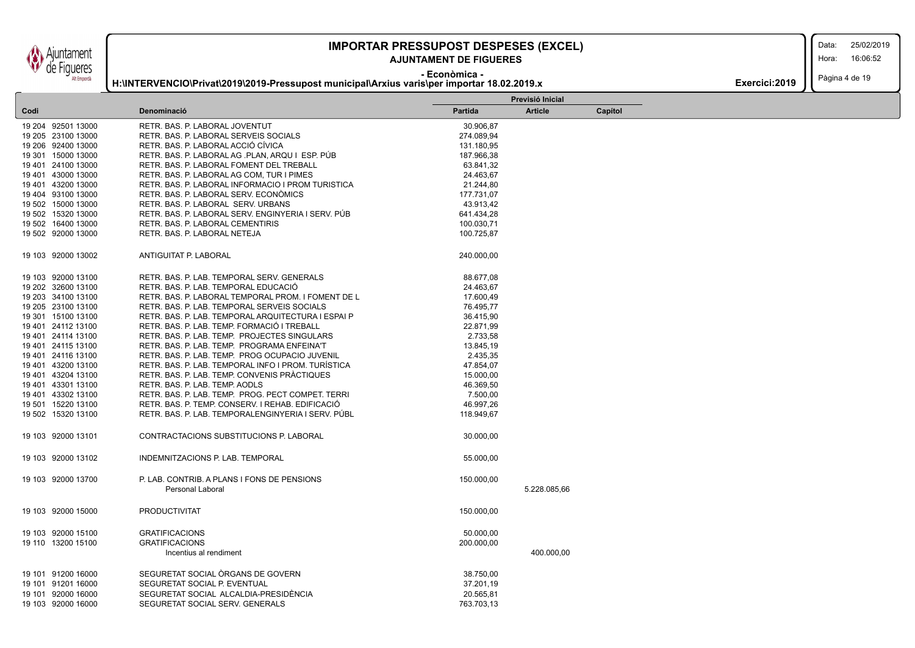untament de Figueres Alt Empordà

### **IMPORTAR PRESSUPOST DESPESES (EXCEL)** 25/02/2019

### **AJUNTAMENT DE FIGUERES**

Data:

Hora: 16:06:52

**- Econòmica - H:\INTERVENCIO\Privat\2019\2019-Pressupost municipal\Arxius varis\per importar 18.02.2019.x**

| <b>Exercici:2019</b> $\left  \ \right $ Pàgina 4 de 19 |  |
|--------------------------------------------------------|--|
|                                                        |  |

|                    |                                                    |                | Previsió Inicial |         |
|--------------------|----------------------------------------------------|----------------|------------------|---------|
| Codi               | Denominació                                        | <b>Partida</b> | <b>Article</b>   | Capítol |
| 19 204 92501 13000 | RETR. BAS. P. LABORAL JOVENTUT                     | 30.906,87      |                  |         |
| 19 205 23100 13000 | RETR. BAS. P. LABORAL SERVEIS SOCIALS              | 274.089,94     |                  |         |
| 19 206 92400 13000 | RETR. BAS. P. LABORAL ACCIÓ CÍVICA                 | 131.180,95     |                  |         |
| 19 301 15000 13000 | RETR. BAS. P. LABORAL AG .PLAN, ARQU I ESP. PÚB    | 187.966,38     |                  |         |
| 19 401 24100 13000 | RETR. BAS. P. LABORAL FOMENT DEL TREBALL           | 63.841,32      |                  |         |
| 19 401 43000 13000 | RETR. BAS. P. LABORAL AG COM, TUR I PIMES          | 24.463,67      |                  |         |
| 19 401 43200 13000 | RETR. BAS. P. LABORAL INFORMACIO I PROM TURISTICA  | 21.244,80      |                  |         |
| 19 404 93100 13000 | RETR. BAS. P. LABORAL SERV. ECONÓMICS              | 177.731,07     |                  |         |
| 19 502 15000 13000 | RETR. BAS. P. LABORAL SERV. URBANS                 | 43.913,42      |                  |         |
| 19 502 15320 13000 | RETR. BAS. P. LABORAL SERV. ENGINYERIA I SERV. PÚB | 641.434,28     |                  |         |
| 19 502 16400 13000 | RETR. BAS. P. LABORAL CEMENTIRIS                   | 100.030,71     |                  |         |
| 19 502 92000 13000 | RETR. BAS. P. LABORAL NETEJA                       | 100.725,87     |                  |         |
| 19 103 92000 13002 | ANTIGUITAT P. LABORAL                              | 240.000,00     |                  |         |
| 19 103 92000 13100 | RETR. BAS. P. LAB. TEMPORAL SERV. GENERALS         | 88.677,08      |                  |         |
| 19 202 32600 13100 | RETR. BAS. P. LAB. TEMPORAL EDUCACIÓ               | 24.463,67      |                  |         |
| 19 203 34100 13100 | RETR. BAS. P. LABORAL TEMPORAL PROM. I FOMENT DE L | 17.600,49      |                  |         |
| 19 205 23100 13100 | RETR. BAS. P. LAB. TEMPORAL SERVEIS SOCIALS        | 76.495,77      |                  |         |
| 19 301 15100 13100 | RETR. BAS. P. LAB. TEMPORAL ARQUITECTURA I ESPAI P | 36.415,90      |                  |         |
| 19 401 24112 13100 | RETR. BAS. P. LAB. TEMP. FORMACIÓ I TREBALL        | 22.871,99      |                  |         |
| 19 401 24114 13100 | RETR. BAS. P. LAB. TEMP. PROJECTES SINGULARS       | 2.733,58       |                  |         |
| 19 401 24115 13100 | RETR. BAS. P. LAB. TEMP. PROGRAMA ENFEINA'T        | 13.845,19      |                  |         |
| 19 401 24116 13100 | RETR. BAS. P. LAB. TEMP. PROG OCUPACIO JUVENIL     | 2.435,35       |                  |         |
| 19 401 43200 13100 | RETR. BAS. P. LAB. TEMPORAL INFO I PROM. TURISTICA | 47.854,07      |                  |         |
| 19 401 43204 13100 | RETR. BAS. P. LAB. TEMP. CONVENIS PRACTIQUES       | 15.000,00      |                  |         |
| 19 401 43301 13100 | RETR. BAS. P. LAB. TEMP. AODLS                     | 46.369,50      |                  |         |
| 19 401 43302 13100 | RETR. BAS. P. LAB. TEMP. PROG. PECT COMPET. TERRI  | 7.500,00       |                  |         |
| 19 501 15220 13100 | RETR. BAS. P. TEMP. CONSERV. I REHAB. EDIFICACIÓ   | 46.997,26      |                  |         |
| 19 502 15320 13100 | RETR. BAS. P. LAB. TEMPORALENGINYERIA I SERV. PÚBL | 118.949,67     |                  |         |
|                    |                                                    |                |                  |         |
| 19 103 92000 13101 | CONTRACTACIONS SUBSTITUCIONS P. LABORAL            | 30.000,00      |                  |         |
| 19 103 92000 13102 | INDEMNITZACIONS P. LAB. TEMPORAL                   | 55.000,00      |                  |         |
| 19 103 92000 13700 | P. LAB. CONTRIB. A PLANS I FONS DE PENSIONS        | 150.000,00     |                  |         |
|                    | <b>Personal Laboral</b>                            |                | 5.228.085,66     |         |
| 19 103 92000 15000 | <b>PRODUCTIVITAT</b>                               | 150.000,00     |                  |         |
| 19 103 92000 15100 | <b>GRATIFICACIONS</b>                              | 50.000,00      |                  |         |
| 19 110 13200 15100 | <b>GRATIFICACIONS</b>                              | 200.000,00     |                  |         |
|                    | Incentius al rendiment                             |                | 400.000,00       |         |
| 19 101 91200 16000 | SEGURETAT SOCIAL ORGANS DE GOVERN                  | 38.750,00      |                  |         |
| 19 101 91201 16000 | SEGURETAT SOCIAL P. EVENTUAL                       | 37.201,19      |                  |         |
| 19 101 92000 16000 | SEGURETAT SOCIAL ALCALDIA-PRESIDÈNCIA              | 20.565,81      |                  |         |
| 19 103 92000 16000 | SEGURETAT SOCIAL SERV. GENERALS                    | 763.703,13     |                  |         |
|                    |                                                    |                |                  |         |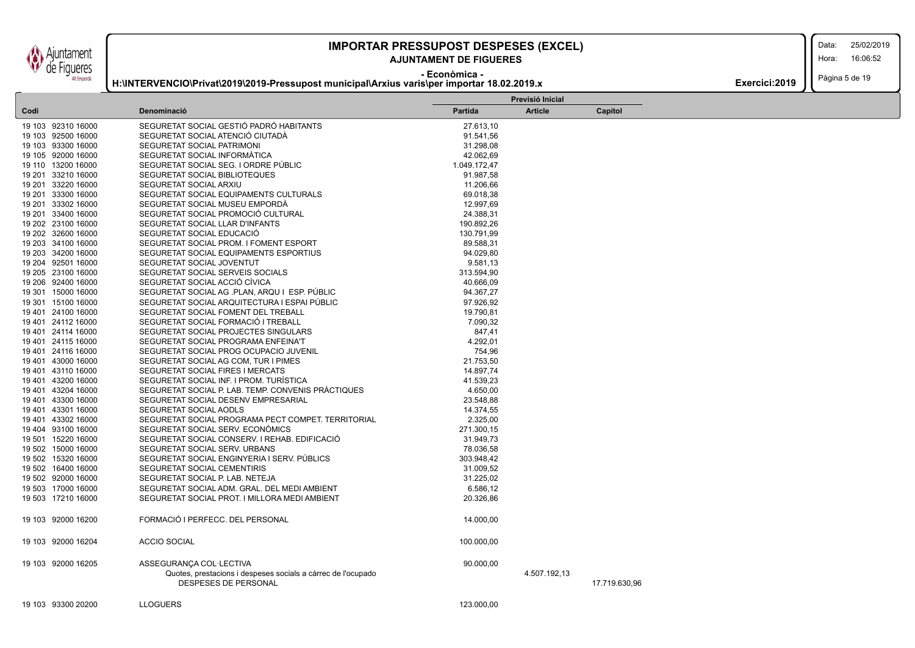iuntament de Figueres Alt Empordà

### **IMPORTAR PRESSUPOST DESPESES (EXCEL)** 25/02/2019

### **AJUNTAMENT DE FIGUERES**

**H:\INTERVENCIO\Privat\2019\2019-Pressupost municipal\Arxius varis\per importar 18.02.2019.x**

Data:

Hora: 16:06:52

**- Econòmica -**

Pàgina 5 de 19 **Exercici:2019** 

|                    |                                                                                             |                | Previsió Inicial |               |
|--------------------|---------------------------------------------------------------------------------------------|----------------|------------------|---------------|
| Codi               | Denominació                                                                                 | <b>Partida</b> | <b>Article</b>   | Capítol       |
| 19 103 92310 16000 | SEGURETAT SOCIAL GESTIÓ PADRÓ HABITANTS                                                     | 27.613,10      |                  |               |
| 19 103 92500 16000 | SEGURETAT SOCIAL ATENCIÓ CIUTADÀ                                                            | 91.541,56      |                  |               |
| 19 103 93300 16000 | SEGURETAT SOCIAL PATRIMONI                                                                  | 31.298,08      |                  |               |
| 19 105 92000 16000 | SEGURETAT SOCIAL INFORMATICA                                                                | 42.062,69      |                  |               |
| 19 110 13200 16000 | SEGURETAT SOCIAL SEG. I ORDRE PÚBLIC                                                        | 1.049.172,47   |                  |               |
| 19 201 33210 16000 | SEGURETAT SOCIAL BIBLIOTEQUES                                                               | 91.987,58      |                  |               |
| 19 201 33220 16000 | SEGURETAT SOCIAL ARXIU                                                                      | 11.206,66      |                  |               |
| 19 201 33300 16000 | SEGURETAT SOCIAL EQUIPAMENTS CULTURALS                                                      | 69.018,38      |                  |               |
| 19 201 33302 16000 | SEGURETAT SOCIAL MUSEU EMPORDÀ                                                              | 12.997,69      |                  |               |
| 19 201 33400 16000 | SEGURETAT SOCIAL PROMOCIÓ CULTURAL                                                          | 24.388,31      |                  |               |
| 19 202 23100 16000 | SEGURETAT SOCIAL LLAR D'INFANTS                                                             | 190.892,26     |                  |               |
| 19 202 32600 16000 | SEGURETAT SOCIAL EDUCACIÓ                                                                   | 130.791,99     |                  |               |
| 19 203 34100 16000 | SEGURETAT SOCIAL PROM. I FOMENT ESPORT                                                      | 89.588,31      |                  |               |
| 19 203 34200 16000 | SEGURETAT SOCIAL EQUIPAMENTS ESPORTIUS                                                      | 94.029,80      |                  |               |
| 19 204 92501 16000 | SEGURETAT SOCIAL JOVENTUT                                                                   | 9.581,13       |                  |               |
| 19 205 23100 16000 | SEGURETAT SOCIAL SERVEIS SOCIALS                                                            | 313.594,90     |                  |               |
| 19 206 92400 16000 | SEGURETAT SOCIAL ACCIÓ CÍVICA                                                               | 40.666,09      |                  |               |
| 19 301 15000 16000 | SEGURETAT SOCIAL AG .PLAN, ARQU I ESP. PÚBLIC                                               | 94.367,27      |                  |               |
| 19 301 15100 16000 | SEGURETAT SOCIAL ARQUITECTURA I ESPAI PÚBLIC                                                | 97.926,92      |                  |               |
| 19 401 24100 16000 | SEGURETAT SOCIAL FOMENT DEL TREBALL                                                         | 19.790,81      |                  |               |
| 19 401 24112 16000 | SEGURETAT SOCIAL FORMACIÓ I TREBALL                                                         | 7.090,32       |                  |               |
| 19 401 24114 16000 | SEGURETAT SOCIAL PROJECTES SINGULARS                                                        | 847,41         |                  |               |
| 19 401 24115 16000 | SEGURETAT SOCIAL PROGRAMA ENFEINA'T                                                         | 4.292,01       |                  |               |
| 19 401 24116 16000 | SEGURETAT SOCIAL PROG OCUPACIO JUVENIL                                                      | 754,96         |                  |               |
| 19 401 43000 16000 | SEGURETAT SOCIAL AG COM, TUR I PIMES                                                        | 21.753,50      |                  |               |
| 19 401 43110 16000 | SEGURETAT SOCIAL FIRES I MERCATS                                                            | 14.897,74      |                  |               |
| 19 401 43200 16000 | SEGURETAT SOCIAL INF. I PROM. TURISTICA                                                     | 41.539,23      |                  |               |
| 19 401 43204 16000 | SEGURETAT SOCIAL P. LAB. TEMP. CONVENIS PRACTIQUES                                          | 4.650,00       |                  |               |
| 19 401 43300 16000 | SEGURETAT SOCIAL DESENV EMPRESARIAL                                                         | 23.548,88      |                  |               |
| 19 401 43301 16000 | SEGURETAT SOCIAL AODLS                                                                      | 14.374,55      |                  |               |
| 19 401 43302 16000 | SEGURETAT SOCIAL PROGRAMA PECT COMPET. TERRITORIAL                                          | 2.325,00       |                  |               |
| 19 404 93100 16000 | SEGURETAT SOCIAL SERV. ECONÓMICS                                                            | 271.300,15     |                  |               |
| 19 501 15220 16000 | SEGURETAT SOCIAL CONSERV. I REHAB. EDIFICACIÓ                                               | 31.949,73      |                  |               |
| 19 502 15000 16000 | SEGURETAT SOCIAL SERV. URBANS                                                               | 78.036,58      |                  |               |
| 19 502 15320 16000 | SEGURETAT SOCIAL ENGINYERIA I SERV. PÚBLICS                                                 | 303.948,42     |                  |               |
| 19 502 16400 16000 | SEGURETAT SOCIAL CEMENTIRIS                                                                 | 31.009,52      |                  |               |
| 19 502 92000 16000 | SEGURETAT SOCIAL P. LAB. NETEJA                                                             | 31.225,02      |                  |               |
| 19 503 17000 16000 | SEGURETAT SOCIAL ADM. GRAL. DEL MEDI AMBIENT                                                | 6.586,12       |                  |               |
| 19 503 17210 16000 | SEGURETAT SOCIAL PROT. I MILLORA MEDI AMBIENT                                               | 20.326,86      |                  |               |
|                    |                                                                                             |                |                  |               |
| 19 103 92000 16200 | FORMACIÓ I PERFECC. DEL PERSONAL                                                            | 14.000,00      |                  |               |
|                    |                                                                                             |                |                  |               |
| 19 103 92000 16204 | <b>ACCIO SOCIAL</b>                                                                         | 100.000,00     |                  |               |
| 19 103 92000 16205 | ASSEGURANCA COL·LECTIVA                                                                     | 90.000,00      |                  |               |
|                    | Quotes, prestacions i despeses socials a càrrec de l'ocupado<br><b>DESPESES DE PERSONAL</b> |                | 4.507.192,13     | 17.719.630,96 |
|                    |                                                                                             |                |                  |               |
| 19 103 93300 20200 | <b>LLOGUERS</b>                                                                             | 123.000.00     |                  |               |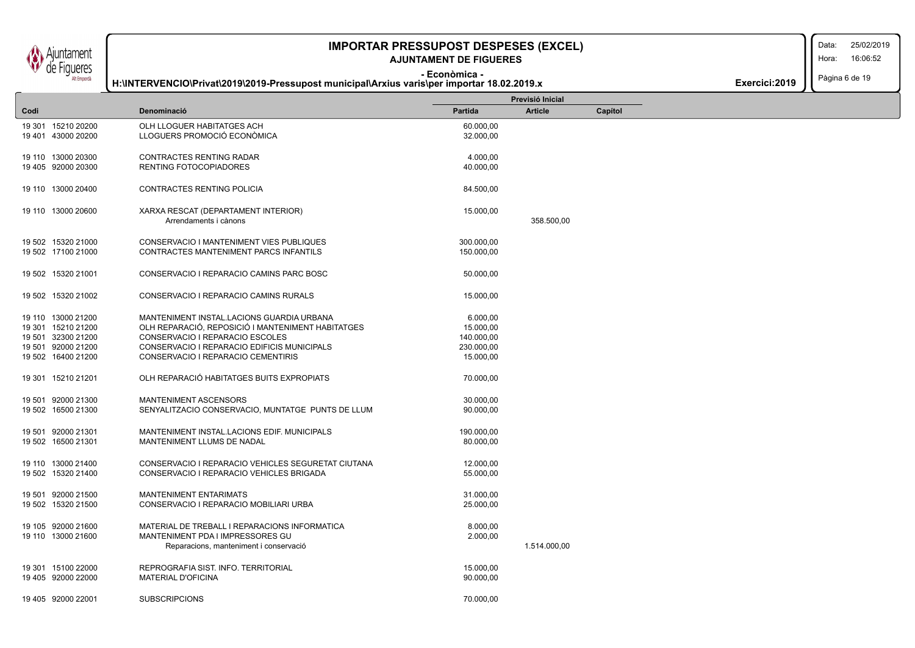iuntament de Figueres Alt Empordà

## **IMPORTAR PRESSUPOST DESPESES (EXCEL)**

### **- Econòmica - AJUNTAMENT DE FIGUERES**

**H:\INTERVENCIO\Privat\2019\2019-Pressupost municipal\Arxius varis\per importar 18.02.2019.x**

Data: 25/02/2019

Hora: 16:06:52

Pàgina 6 de 19

|  | Exercici: 2019 |  |  |
|--|----------------|--|--|
|--|----------------|--|--|

|      |                    |                                                    |            | Previsió Inicial |         |
|------|--------------------|----------------------------------------------------|------------|------------------|---------|
| Codi |                    | Denominació                                        | Partida    | <b>Article</b>   | Capítol |
|      | 19 301 15210 20200 | OLH LLOGUER HABITATGES ACH                         | 60.000,00  |                  |         |
|      | 19 401 43000 20200 | LLOGUERS PROMOCIÓ ECONÒMICA                        | 32.000,00  |                  |         |
|      |                    |                                                    |            |                  |         |
|      | 19 110 13000 20300 | CONTRACTES RENTING RADAR                           | 4.000,00   |                  |         |
|      | 19 405 92000 20300 | RENTING FOTOCOPIADORES                             | 40.000,00  |                  |         |
|      |                    |                                                    |            |                  |         |
|      | 19 110 13000 20400 | CONTRACTES RENTING POLICIA                         | 84.500,00  |                  |         |
|      |                    |                                                    |            |                  |         |
|      | 19 110 13000 20600 | XARXA RESCAT (DEPARTAMENT INTERIOR)                | 15.000,00  |                  |         |
|      |                    | Arrendaments i cànons                              |            | 358.500,00       |         |
|      |                    |                                                    |            |                  |         |
|      | 19 502 15320 21000 | CONSERVACIO I MANTENIMENT VIES PUBLIQUES           | 300.000,00 |                  |         |
|      | 19 502 17100 21000 | CONTRACTES MANTENIMENT PARCS INFANTILS             | 150.000,00 |                  |         |
|      |                    |                                                    |            |                  |         |
|      | 19 502 15320 21001 | CONSERVACIO I REPARACIO CAMINS PARC BOSC           | 50.000,00  |                  |         |
|      |                    |                                                    |            |                  |         |
|      | 19 502 15320 21002 | CONSERVACIO I REPARACIO CAMINS RURALS              | 15.000,00  |                  |         |
|      |                    |                                                    |            |                  |         |
|      | 19 110 13000 21200 | MANTENIMENT INSTAL.LACIONS GUARDIA URBANA          | 6.000,00   |                  |         |
|      | 19 301 15210 21200 | OLH REPARACIÓ, REPOSICIÓ I MANTENIMENT HABITATGES  | 15.000,00  |                  |         |
|      | 19 501 32300 21200 | CONSERVACIO I REPARACIO ESCOLES                    | 140.000,00 |                  |         |
|      |                    |                                                    |            |                  |         |
|      | 19 501 92000 21200 | CONSERVACIO I REPARACIO EDIFICIS MUNICIPALS        | 230.000,00 |                  |         |
|      | 19 502 16400 21200 | CONSERVACIO I REPARACIO CEMENTIRIS                 | 15.000,00  |                  |         |
|      |                    | OLH REPARACIÓ HABITATGES BUITS EXPROPIATS          |            |                  |         |
|      | 19 301 15210 21201 |                                                    | 70.000,00  |                  |         |
|      |                    |                                                    |            |                  |         |
|      | 19 501 92000 21300 | MANTENIMENT ASCENSORS                              | 30.000,00  |                  |         |
|      | 19 502 16500 21300 | SENYALITZACIO CONSERVACIO, MUNTATGE PUNTS DE LLUM  | 90.000,00  |                  |         |
|      |                    |                                                    |            |                  |         |
|      | 19 501 92000 21301 | MANTENIMENT INSTAL.LACIONS EDIF. MUNICIPALS        | 190.000,00 |                  |         |
|      | 19 502 16500 21301 | MANTENIMENT LLUMS DE NADAL                         | 80.000,00  |                  |         |
|      |                    |                                                    |            |                  |         |
|      | 19 110 13000 21400 | CONSERVACIO I REPARACIO VEHICLES SEGURETAT CIUTANA | 12.000,00  |                  |         |
|      | 19 502 15320 21400 | CONSERVACIO I REPARACIO VEHICLES BRIGADA           | 55.000,00  |                  |         |
|      |                    |                                                    |            |                  |         |
|      | 19 501 92000 21500 | <b>MANTENIMENT ENTARIMATS</b>                      | 31.000,00  |                  |         |
|      | 19 502 15320 21500 | CONSERVACIO I REPARACIO MOBILIARI URBA             | 25.000,00  |                  |         |
|      |                    |                                                    |            |                  |         |
|      | 19 105 92000 21600 | MATERIAL DE TREBALL I REPARACIONS INFORMATICA      | 8.000,00   |                  |         |
|      | 19 110 13000 21600 | MANTENIMENT PDA I IMPRESSORES GU                   | 2.000,00   |                  |         |
|      |                    | Reparacions, manteniment i conservació             |            | 1.514.000,00     |         |
|      |                    |                                                    |            |                  |         |
|      | 19 301 15100 22000 | REPROGRAFIA SIST. INFO. TERRITORIAL                | 15.000,00  |                  |         |
|      | 19 405 92000 22000 | <b>MATERIAL D'OFICINA</b>                          | 90.000,00  |                  |         |
|      |                    |                                                    |            |                  |         |
|      | 19 405 92000 22001 | <b>SUBSCRIPCIONS</b>                               | 70.000.00  |                  |         |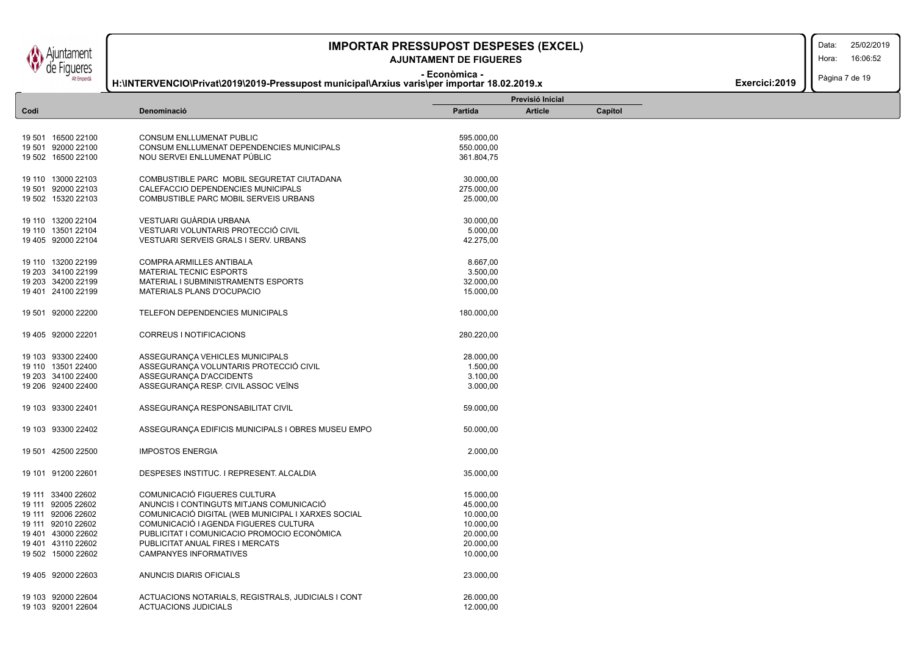juntament de Figueres Alt Empordà

ſ L

## **IMPORTAR PRESSUPOST DESPESES (EXCEL)** 25/02/2019

### **- Econòmica - AJUNTAMENT DE FIGUERES**

**H:\INTERVENCIO\Privat\2019\2019-Pressupost municipal\Arxius varis\per importar 18.02.2019.x**

Data: Hora: 16:06:52

Pàgina 7 de 19

| Partida<br><b>Article</b><br>Codi<br>Denominació<br>Capítol<br>19 501 16500 22100<br><b>CONSUM ENLLUMENAT PUBLIC</b><br>595.000,00<br>CONSUM ENLLUMENAT DEPENDENCIES MUNICIPALS<br>550.000,00<br>NOU SERVEI ENLLUMENAT PÚBLIC<br>361.804,75<br>19 110 13000 22103<br>COMBUSTIBLE PARC MOBIL SEGURETAT CIUTADANA<br>30.000,00<br>275.000,00<br>CALEFACCIO DEPENDENCIES MUNICIPALS<br>COMBUSTIBLE PARC MOBIL SERVEIS URBANS<br>25.000,00<br>VESTUARI GUÀRDIA URBANA<br>19 110 13200 22104<br>30.000,00<br>19 110 13501 22104<br>VESTUARI VOLUNTARIS PROTECCIÓ CIVIL<br>5.000,00<br>VESTUARI SERVEIS GRALS I SERV. URBANS<br>42.275,00<br>19 110 13200 22199<br>COMPRA ARMILLES ANTIBALA<br>8.667,00<br>3.500,00<br><b>MATERIAL TECNIC ESPORTS</b><br>32.000,00<br>MATERIAL I SUBMINISTRAMENTS ESPORTS<br>MATERIALS PLANS D'OCUPACIO<br>15.000,00<br>19 501 92000 22200<br>TELEFON DEPENDENCIES MUNICIPALS<br>180.000,00<br>CORREUS I NOTIFICACIONS<br>280.220,00<br>19 405 92000 22201<br>19 103 93300 22400<br>ASSEGURANÇA VEHICLES MUNICIPALS<br>28.000,00<br>ASSEGURANÇA VOLUNTARIS PROTECCIÓ CIVIL<br>1.500,00<br>ASSEGURANÇA D'ACCIDENTS<br>3.100,00<br>ASSEGURANÇA RESP. CIVIL ASSOC VEÏNS<br>3.000,00<br>59.000,00<br>19 103 93300 22401<br>ASSEGURANÇA RESPONSABILITAT CIVIL<br>19 103 93300 22402<br>ASSEGURANCA EDIFICIS MUNICIPALS I OBRES MUSEU EMPO<br>50.000,00<br>19 501 42500 22500<br><b>IMPOSTOS ENERGIA</b><br>2.000,00<br>19 101 91200 22601<br>DESPESES INSTITUC. I REPRESENT. ALCALDIA<br>35.000,00<br>COMUNICACIÓ FIGUERES CULTURA<br>19 111 33400 22602<br>15.000,00<br>ANUNCIS I CONTINGUTS MITJANS COMUNICACIÓ<br>45.000,00<br>COMUNICACIÓ DIGITAL (WEB MUNICIPAL I XARXES SOCIAL<br>10.000,00<br>COMUNICACIÓ I AGENDA FIGUERES CULTURA<br>10.000,00<br>19 401 43000 22602<br>PUBLICITAT I COMUNICACIO PROMOCIO ECONÓMICA<br>20.000,00<br>PUBLICITAT ANUAL FIRES I MERCATS<br>20.000,00 |  |
|-----------------------------------------------------------------------------------------------------------------------------------------------------------------------------------------------------------------------------------------------------------------------------------------------------------------------------------------------------------------------------------------------------------------------------------------------------------------------------------------------------------------------------------------------------------------------------------------------------------------------------------------------------------------------------------------------------------------------------------------------------------------------------------------------------------------------------------------------------------------------------------------------------------------------------------------------------------------------------------------------------------------------------------------------------------------------------------------------------------------------------------------------------------------------------------------------------------------------------------------------------------------------------------------------------------------------------------------------------------------------------------------------------------------------------------------------------------------------------------------------------------------------------------------------------------------------------------------------------------------------------------------------------------------------------------------------------------------------------------------------------------------------------------------------------------------------------------------------------------------------------------------------------------------|--|
|                                                                                                                                                                                                                                                                                                                                                                                                                                                                                                                                                                                                                                                                                                                                                                                                                                                                                                                                                                                                                                                                                                                                                                                                                                                                                                                                                                                                                                                                                                                                                                                                                                                                                                                                                                                                                                                                                                                 |  |
| 19 501 92000 22100<br>19 502 16500 22100<br>19 501 92000 22103<br>19 502 15320 22103<br>19 405 92000 22104<br>19 203 34100 22199<br>19 203 34200 22199<br>19 401 24100 22199<br>19 110 13501 22400<br>19 203 34100 22400<br>19 206 92400 22400<br>19 111 92005 22602<br>19 111 92006 22602<br>19 111 92010 22602<br>19 401 43110 22602                                                                                                                                                                                                                                                                                                                                                                                                                                                                                                                                                                                                                                                                                                                                                                                                                                                                                                                                                                                                                                                                                                                                                                                                                                                                                                                                                                                                                                                                                                                                                                          |  |
|                                                                                                                                                                                                                                                                                                                                                                                                                                                                                                                                                                                                                                                                                                                                                                                                                                                                                                                                                                                                                                                                                                                                                                                                                                                                                                                                                                                                                                                                                                                                                                                                                                                                                                                                                                                                                                                                                                                 |  |
|                                                                                                                                                                                                                                                                                                                                                                                                                                                                                                                                                                                                                                                                                                                                                                                                                                                                                                                                                                                                                                                                                                                                                                                                                                                                                                                                                                                                                                                                                                                                                                                                                                                                                                                                                                                                                                                                                                                 |  |
|                                                                                                                                                                                                                                                                                                                                                                                                                                                                                                                                                                                                                                                                                                                                                                                                                                                                                                                                                                                                                                                                                                                                                                                                                                                                                                                                                                                                                                                                                                                                                                                                                                                                                                                                                                                                                                                                                                                 |  |
|                                                                                                                                                                                                                                                                                                                                                                                                                                                                                                                                                                                                                                                                                                                                                                                                                                                                                                                                                                                                                                                                                                                                                                                                                                                                                                                                                                                                                                                                                                                                                                                                                                                                                                                                                                                                                                                                                                                 |  |
|                                                                                                                                                                                                                                                                                                                                                                                                                                                                                                                                                                                                                                                                                                                                                                                                                                                                                                                                                                                                                                                                                                                                                                                                                                                                                                                                                                                                                                                                                                                                                                                                                                                                                                                                                                                                                                                                                                                 |  |
|                                                                                                                                                                                                                                                                                                                                                                                                                                                                                                                                                                                                                                                                                                                                                                                                                                                                                                                                                                                                                                                                                                                                                                                                                                                                                                                                                                                                                                                                                                                                                                                                                                                                                                                                                                                                                                                                                                                 |  |
|                                                                                                                                                                                                                                                                                                                                                                                                                                                                                                                                                                                                                                                                                                                                                                                                                                                                                                                                                                                                                                                                                                                                                                                                                                                                                                                                                                                                                                                                                                                                                                                                                                                                                                                                                                                                                                                                                                                 |  |
|                                                                                                                                                                                                                                                                                                                                                                                                                                                                                                                                                                                                                                                                                                                                                                                                                                                                                                                                                                                                                                                                                                                                                                                                                                                                                                                                                                                                                                                                                                                                                                                                                                                                                                                                                                                                                                                                                                                 |  |
|                                                                                                                                                                                                                                                                                                                                                                                                                                                                                                                                                                                                                                                                                                                                                                                                                                                                                                                                                                                                                                                                                                                                                                                                                                                                                                                                                                                                                                                                                                                                                                                                                                                                                                                                                                                                                                                                                                                 |  |
|                                                                                                                                                                                                                                                                                                                                                                                                                                                                                                                                                                                                                                                                                                                                                                                                                                                                                                                                                                                                                                                                                                                                                                                                                                                                                                                                                                                                                                                                                                                                                                                                                                                                                                                                                                                                                                                                                                                 |  |
|                                                                                                                                                                                                                                                                                                                                                                                                                                                                                                                                                                                                                                                                                                                                                                                                                                                                                                                                                                                                                                                                                                                                                                                                                                                                                                                                                                                                                                                                                                                                                                                                                                                                                                                                                                                                                                                                                                                 |  |
|                                                                                                                                                                                                                                                                                                                                                                                                                                                                                                                                                                                                                                                                                                                                                                                                                                                                                                                                                                                                                                                                                                                                                                                                                                                                                                                                                                                                                                                                                                                                                                                                                                                                                                                                                                                                                                                                                                                 |  |
|                                                                                                                                                                                                                                                                                                                                                                                                                                                                                                                                                                                                                                                                                                                                                                                                                                                                                                                                                                                                                                                                                                                                                                                                                                                                                                                                                                                                                                                                                                                                                                                                                                                                                                                                                                                                                                                                                                                 |  |
|                                                                                                                                                                                                                                                                                                                                                                                                                                                                                                                                                                                                                                                                                                                                                                                                                                                                                                                                                                                                                                                                                                                                                                                                                                                                                                                                                                                                                                                                                                                                                                                                                                                                                                                                                                                                                                                                                                                 |  |
|                                                                                                                                                                                                                                                                                                                                                                                                                                                                                                                                                                                                                                                                                                                                                                                                                                                                                                                                                                                                                                                                                                                                                                                                                                                                                                                                                                                                                                                                                                                                                                                                                                                                                                                                                                                                                                                                                                                 |  |
|                                                                                                                                                                                                                                                                                                                                                                                                                                                                                                                                                                                                                                                                                                                                                                                                                                                                                                                                                                                                                                                                                                                                                                                                                                                                                                                                                                                                                                                                                                                                                                                                                                                                                                                                                                                                                                                                                                                 |  |
|                                                                                                                                                                                                                                                                                                                                                                                                                                                                                                                                                                                                                                                                                                                                                                                                                                                                                                                                                                                                                                                                                                                                                                                                                                                                                                                                                                                                                                                                                                                                                                                                                                                                                                                                                                                                                                                                                                                 |  |
|                                                                                                                                                                                                                                                                                                                                                                                                                                                                                                                                                                                                                                                                                                                                                                                                                                                                                                                                                                                                                                                                                                                                                                                                                                                                                                                                                                                                                                                                                                                                                                                                                                                                                                                                                                                                                                                                                                                 |  |
|                                                                                                                                                                                                                                                                                                                                                                                                                                                                                                                                                                                                                                                                                                                                                                                                                                                                                                                                                                                                                                                                                                                                                                                                                                                                                                                                                                                                                                                                                                                                                                                                                                                                                                                                                                                                                                                                                                                 |  |
|                                                                                                                                                                                                                                                                                                                                                                                                                                                                                                                                                                                                                                                                                                                                                                                                                                                                                                                                                                                                                                                                                                                                                                                                                                                                                                                                                                                                                                                                                                                                                                                                                                                                                                                                                                                                                                                                                                                 |  |
|                                                                                                                                                                                                                                                                                                                                                                                                                                                                                                                                                                                                                                                                                                                                                                                                                                                                                                                                                                                                                                                                                                                                                                                                                                                                                                                                                                                                                                                                                                                                                                                                                                                                                                                                                                                                                                                                                                                 |  |
|                                                                                                                                                                                                                                                                                                                                                                                                                                                                                                                                                                                                                                                                                                                                                                                                                                                                                                                                                                                                                                                                                                                                                                                                                                                                                                                                                                                                                                                                                                                                                                                                                                                                                                                                                                                                                                                                                                                 |  |
|                                                                                                                                                                                                                                                                                                                                                                                                                                                                                                                                                                                                                                                                                                                                                                                                                                                                                                                                                                                                                                                                                                                                                                                                                                                                                                                                                                                                                                                                                                                                                                                                                                                                                                                                                                                                                                                                                                                 |  |
|                                                                                                                                                                                                                                                                                                                                                                                                                                                                                                                                                                                                                                                                                                                                                                                                                                                                                                                                                                                                                                                                                                                                                                                                                                                                                                                                                                                                                                                                                                                                                                                                                                                                                                                                                                                                                                                                                                                 |  |
|                                                                                                                                                                                                                                                                                                                                                                                                                                                                                                                                                                                                                                                                                                                                                                                                                                                                                                                                                                                                                                                                                                                                                                                                                                                                                                                                                                                                                                                                                                                                                                                                                                                                                                                                                                                                                                                                                                                 |  |
|                                                                                                                                                                                                                                                                                                                                                                                                                                                                                                                                                                                                                                                                                                                                                                                                                                                                                                                                                                                                                                                                                                                                                                                                                                                                                                                                                                                                                                                                                                                                                                                                                                                                                                                                                                                                                                                                                                                 |  |
|                                                                                                                                                                                                                                                                                                                                                                                                                                                                                                                                                                                                                                                                                                                                                                                                                                                                                                                                                                                                                                                                                                                                                                                                                                                                                                                                                                                                                                                                                                                                                                                                                                                                                                                                                                                                                                                                                                                 |  |
|                                                                                                                                                                                                                                                                                                                                                                                                                                                                                                                                                                                                                                                                                                                                                                                                                                                                                                                                                                                                                                                                                                                                                                                                                                                                                                                                                                                                                                                                                                                                                                                                                                                                                                                                                                                                                                                                                                                 |  |
|                                                                                                                                                                                                                                                                                                                                                                                                                                                                                                                                                                                                                                                                                                                                                                                                                                                                                                                                                                                                                                                                                                                                                                                                                                                                                                                                                                                                                                                                                                                                                                                                                                                                                                                                                                                                                                                                                                                 |  |
|                                                                                                                                                                                                                                                                                                                                                                                                                                                                                                                                                                                                                                                                                                                                                                                                                                                                                                                                                                                                                                                                                                                                                                                                                                                                                                                                                                                                                                                                                                                                                                                                                                                                                                                                                                                                                                                                                                                 |  |
|                                                                                                                                                                                                                                                                                                                                                                                                                                                                                                                                                                                                                                                                                                                                                                                                                                                                                                                                                                                                                                                                                                                                                                                                                                                                                                                                                                                                                                                                                                                                                                                                                                                                                                                                                                                                                                                                                                                 |  |
|                                                                                                                                                                                                                                                                                                                                                                                                                                                                                                                                                                                                                                                                                                                                                                                                                                                                                                                                                                                                                                                                                                                                                                                                                                                                                                                                                                                                                                                                                                                                                                                                                                                                                                                                                                                                                                                                                                                 |  |
| 19 502 15000 22602<br><b>CAMPANYES INFORMATIVES</b><br>10.000,00                                                                                                                                                                                                                                                                                                                                                                                                                                                                                                                                                                                                                                                                                                                                                                                                                                                                                                                                                                                                                                                                                                                                                                                                                                                                                                                                                                                                                                                                                                                                                                                                                                                                                                                                                                                                                                                |  |
| 19 405 92000 22603<br>ANUNCIS DIARIS OFICIALS<br>23.000,00                                                                                                                                                                                                                                                                                                                                                                                                                                                                                                                                                                                                                                                                                                                                                                                                                                                                                                                                                                                                                                                                                                                                                                                                                                                                                                                                                                                                                                                                                                                                                                                                                                                                                                                                                                                                                                                      |  |
| 19 103 92000 22604<br>ACTUACIONS NOTARIALS, REGISTRALS, JUDICIALS I CONT<br>26.000,00                                                                                                                                                                                                                                                                                                                                                                                                                                                                                                                                                                                                                                                                                                                                                                                                                                                                                                                                                                                                                                                                                                                                                                                                                                                                                                                                                                                                                                                                                                                                                                                                                                                                                                                                                                                                                           |  |
| <b>ACTUACIONS JUDICIALS</b><br>12.000,00<br>19 103 92001 22604                                                                                                                                                                                                                                                                                                                                                                                                                                                                                                                                                                                                                                                                                                                                                                                                                                                                                                                                                                                                                                                                                                                                                                                                                                                                                                                                                                                                                                                                                                                                                                                                                                                                                                                                                                                                                                                  |  |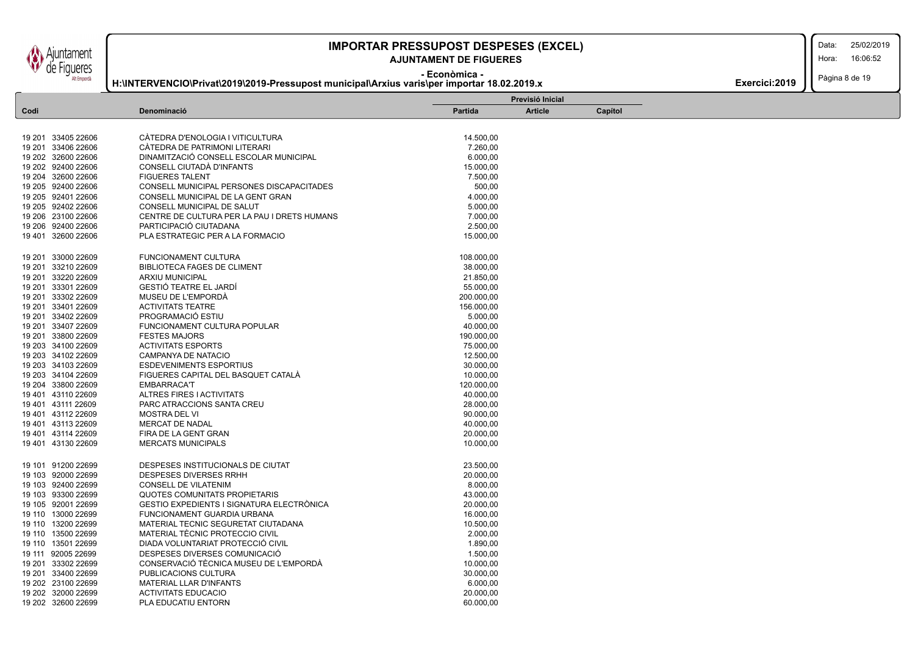untament **Figueres** Alt Empordà

### **AJUNTAMENT DE FIGUERES**

Data:

Hora: 16:06:52

**- Econòmica - H:\INTERVENCIO\Privat\2019\2019-Pressupost municipal\Arxius varis\per importar 18.02.2019.x**

#### Pàgina 8 de 19 **Exercici:2019**

|                    |                                                  |                      | Previsió Inicial |         |  |  |
|--------------------|--------------------------------------------------|----------------------|------------------|---------|--|--|
| Codi               | Denominació                                      | <b>Partida</b>       | <b>Article</b>   | Capítol |  |  |
|                    |                                                  |                      |                  |         |  |  |
| 19 201 33405 22606 | CÁTEDRA D'ENOLOGIA I VITICULTURA                 | 14.500,00            |                  |         |  |  |
| 19 201 33406 22606 | CÀTEDRA DE PATRIMONI LITERARI                    | 7.260,00             |                  |         |  |  |
| 19 202 32600 22606 | DINAMITZACIÓ CONSELL ESCOLAR MUNICIPAL           | 6.000,00             |                  |         |  |  |
| 19 202 92400 22606 | CONSELL CIUTADÀ D'INFANTS                        | 15.000,00            |                  |         |  |  |
| 19 204 32600 22606 | <b>FIGUERES TALENT</b>                           | 7.500,00             |                  |         |  |  |
| 19 205 92400 22606 | CONSELL MUNICIPAL PERSONES DISCAPACITADES        | 500,00               |                  |         |  |  |
| 19 205 92401 22606 | CONSELL MUNICIPAL DE LA GENT GRAN                | 4.000,00             |                  |         |  |  |
| 19 205 92402 22606 | CONSELL MUNICIPAL DE SALUT                       | 5.000,00             |                  |         |  |  |
| 19 206 23100 22606 | CENTRE DE CULTURA PER LA PAU I DRETS HUMANS      | 7.000,00             |                  |         |  |  |
|                    | PARTICIPACIÓ CIUTADANA                           |                      |                  |         |  |  |
| 19 206 92400 22606 |                                                  | 2.500,00             |                  |         |  |  |
| 19 401 32600 22606 | PLA ESTRATEGIC PER A LA FORMACIO                 | 15.000,00            |                  |         |  |  |
| 19 201 33000 22609 | FUNCIONAMENT CULTURA                             | 108.000,00           |                  |         |  |  |
| 19 201 33210 22609 | <b>BIBLIOTECA FAGES DE CLIMENT</b>               | 38.000,00            |                  |         |  |  |
| 19 201 33220 22609 | <b>ARXIU MUNICIPAL</b>                           | 21.850,00            |                  |         |  |  |
| 19 201 33301 22609 | <b>GESTIÓ TEATRE EL JARDÍ</b>                    | 55.000,00            |                  |         |  |  |
| 19 201 33302 22609 | MUSEU DE L'EMPORDÀ                               | 200.000,00           |                  |         |  |  |
| 19 201 33401 22609 | <b>ACTIVITATS TEATRE</b>                         | 156.000,00           |                  |         |  |  |
| 19 201 33402 22609 | PROGRAMACIÓ ESTIU                                | 5.000,00             |                  |         |  |  |
| 19 201 33407 22609 | FUNCIONAMENT CULTURA POPULAR                     | 40.000,00            |                  |         |  |  |
| 19 201 33800 22609 | <b>FESTES MAJORS</b>                             | 190.000,00           |                  |         |  |  |
| 19 203 34100 22609 | <b>ACTIVITATS ESPORTS</b>                        | 75.000,00            |                  |         |  |  |
| 19 203 34102 22609 | <b>CAMPANYA DE NATACIO</b>                       | 12.500,00            |                  |         |  |  |
| 19 203 34103 22609 |                                                  |                      |                  |         |  |  |
|                    | <b>ESDEVENIMENTS ESPORTIUS</b>                   | 30.000,00            |                  |         |  |  |
| 19 203 34104 22609 | FIGUERES CAPITAL DEL BASQUET CATALA              | 10.000,00            |                  |         |  |  |
| 19 204 33800 22609 | <b>EMBARRACA'T</b>                               | 120.000,00           |                  |         |  |  |
| 19 401 43110 22609 | ALTRES FIRES I ACTIVITATS                        | 40.000,00            |                  |         |  |  |
| 19 401 43111 22609 | PARC ATRACCIONS SANTA CREU                       | 28.000,00            |                  |         |  |  |
| 19 401 43112 22609 | <b>MOSTRA DEL VI</b>                             | 90.000,00            |                  |         |  |  |
| 19 401 43113 22609 | MERCAT DE NADAL                                  | 40.000,00            |                  |         |  |  |
| 19 401 43114 22609 | FIRA DE LA GENT GRAN                             | 20.000,00            |                  |         |  |  |
| 19 401 43130 22609 | <b>MERCATS MUNICIPALS</b>                        | 10.000,00            |                  |         |  |  |
| 19 101 91200 22699 | DESPESES INSTITUCIONALS DE CIUTAT                | 23.500,00            |                  |         |  |  |
| 19 103 92000 22699 | <b>DESPESES DIVERSES RRHH</b>                    | 20.000,00            |                  |         |  |  |
| 19 103 92400 22699 | <b>CONSELL DE VILATENIM</b>                      | 8.000,00             |                  |         |  |  |
| 19 103 93300 22699 | <b>QUOTES COMUNITATS PROPIETARIS</b>             | 43.000,00            |                  |         |  |  |
| 19 105 92001 22699 | <b>GESTIO EXPEDIENTS I SIGNATURA ELECTRONICA</b> | 20.000,00            |                  |         |  |  |
| 19 110 13000 22699 | <b>FUNCIONAMENT GUARDIA URBANA</b>               | 16.000,00            |                  |         |  |  |
| 19 110 13200 22699 | MATERIAL TECNIC SEGURETAT CIUTADANA              | 10.500,00            |                  |         |  |  |
| 19 110 13500 22699 | MATERIAL TÈCNIC PROTECCIO CIVIL                  |                      |                  |         |  |  |
| 19 110 13501 22699 | DIADA VOLUNTARIAT PROTECCIÓ CIVIL                | 2.000,00<br>1.890,00 |                  |         |  |  |
| 19 111 92005 22699 | DESPESES DIVERSES COMUNICACIÓ                    |                      |                  |         |  |  |
|                    |                                                  | 1.500,00             |                  |         |  |  |
| 19 201 33302 22699 | CONSERVACIÓ TÈCNICA MUSEU DE L'EMPORDÀ           | 10.000,00            |                  |         |  |  |
| 19 201 33400 22699 | PUBLICACIONS CULTURA                             | 30.000,00            |                  |         |  |  |
| 19 202 23100 22699 | <b>MATERIAL LLAR D'INFANTS</b>                   | 6.000,00             |                  |         |  |  |
| 19 202 32000 22699 | <b>ACTIVITATS EDUCACIO</b>                       | 20.000,00            |                  |         |  |  |
| 19 202 32600 22699 | PLA EDUCATIU ENTORN                              | 60.000.00            |                  |         |  |  |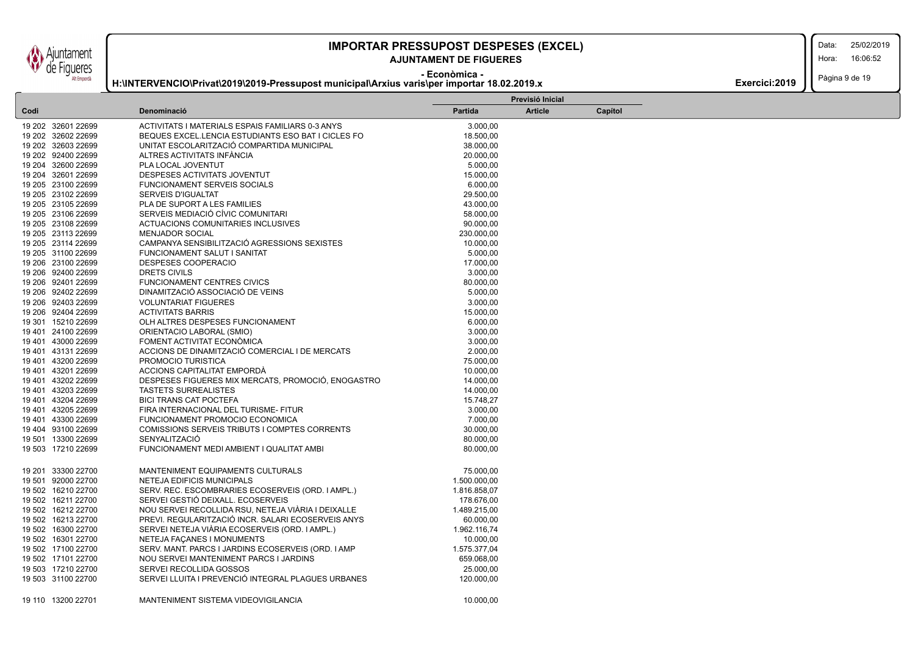untament **Figueres** Alt Empordà

### **IMPORTAR PRESSUPOST DESPESES (EXCEL)** 25/02/2019

### **AJUNTAMENT DE FIGUERES**

Data:

Hora: 16:06:52

**- Econòmica -**

#### **H:\INTERVENCIO\Privat\2019\2019-Pressupost municipal\Arxius varis\per importar 18.02.2019.x**

Pàgina 9 de 19 **Exercici:2019** 

|                    |                                                    |                | Previsió Inicial |         |  |  |  |
|--------------------|----------------------------------------------------|----------------|------------------|---------|--|--|--|
| Codi               | Denominació                                        | <b>Partida</b> | <b>Article</b>   | Capítol |  |  |  |
| 19 202 32601 22699 | ACTIVITATS I MATERIALS ESPAIS FAMILIARS 0-3 ANYS   | 3.000,00       |                  |         |  |  |  |
| 19 202 32602 22699 | BEQUES EXCEL.LENCIA ESTUDIANTS ESO BAT I CICLES FO | 18.500,00      |                  |         |  |  |  |
| 19 202 32603 22699 | UNITAT ESCOLARITZACIÓ COMPARTIDA MUNICIPAL         | 38.000,00      |                  |         |  |  |  |
| 19 202 92400 22699 | ALTRES ACTIVITATS INFANCIA                         | 20.000,00      |                  |         |  |  |  |
| 19 204 32600 22699 | PLA LOCAL JOVENTUT                                 | 5.000,00       |                  |         |  |  |  |
| 19 204 32601 22699 | DESPESES ACTIVITATS JOVENTUT                       | 15.000,00      |                  |         |  |  |  |
| 19 205 23100 22699 | <b>FUNCIONAMENT SERVEIS SOCIALS</b>                | 6.000,00       |                  |         |  |  |  |
| 19 205 23102 22699 | <b>SERVEIS D'IGUALTAT</b>                          | 29.500,00      |                  |         |  |  |  |
| 19 205 23105 22699 | PLA DE SUPORT A LES FAMILIES                       | 43.000,00      |                  |         |  |  |  |
| 19 205 23106 22699 | SERVEIS MEDIACIÓ CÍVIC COMUNITARI                  | 58.000,00      |                  |         |  |  |  |
| 19 205 23108 22699 | ACTUACIONS COMUNITARIES INCLUSIVES                 | 90.000,00      |                  |         |  |  |  |
| 19 205 23113 22699 | <b>MENJADOR SOCIAL</b>                             | 230.000,00     |                  |         |  |  |  |
| 19 205 23114 22699 | CAMPANYA SENSIBILITZACIÓ AGRESSIONS SEXISTES       | 10.000,00      |                  |         |  |  |  |
| 19 205 31100 22699 | FUNCIONAMENT SALUT I SANITAT                       | 5.000,00       |                  |         |  |  |  |
| 19 206 23100 22699 | DESPESES COOPERACIO                                | 17.000,00      |                  |         |  |  |  |
| 19 206 92400 22699 | DRETS CIVILS                                       | 3.000,00       |                  |         |  |  |  |
| 19 206 92401 22699 | <b>FUNCIONAMENT CENTRES CIVICS</b>                 | 80.000,00      |                  |         |  |  |  |
| 19 206 92402 22699 | DINAMITZACIÓ ASSOCIACIÓ DE VEINS                   | 5.000,00       |                  |         |  |  |  |
| 19 206 92403 22699 | <b>VOLUNTARIAT FIGUERES</b>                        | 3.000,00       |                  |         |  |  |  |
| 19 206 92404 22699 | <b>ACTIVITATS BARRIS</b>                           | 15.000,00      |                  |         |  |  |  |
| 19 301 15210 22699 | OLH ALTRES DESPESES FUNCIONAMENT                   | 6.000,00       |                  |         |  |  |  |
| 19 401 24100 22699 | ORIENTACIO LABORAL (SMIO)                          | 3.000,00       |                  |         |  |  |  |
| 19 401 43000 22699 | FOMENT ACTIVITAT ECONÓMICA                         | 3.000,00       |                  |         |  |  |  |
| 19 401 43131 22699 | ACCIONS DE DINAMITZACIÓ COMERCIAL I DE MERCATS     | 2.000,00       |                  |         |  |  |  |
| 19 401 43200 22699 | PROMOCIO TURISTICA                                 | 75.000,00      |                  |         |  |  |  |
| 19 401 43201 22699 | ACCIONS CAPITALITAT EMPORDÀ                        | 10.000,00      |                  |         |  |  |  |
| 19 401 43202 22699 | DESPESES FIGUERES MIX MERCATS, PROMOCIÓ, ENOGASTRO | 14.000,00      |                  |         |  |  |  |
| 19 401 43203 22699 | <b>TASTETS SURREALISTES</b>                        | 14.000,00      |                  |         |  |  |  |
| 19 401 43204 22699 | <b>BICI TRANS CAT POCTEFA</b>                      | 15.748,27      |                  |         |  |  |  |
| 19 401 43205 22699 | FIRA INTERNACIONAL DEL TURISME- FITUR              | 3.000,00       |                  |         |  |  |  |
| 19 401 43300 22699 | FUNCIONAMENT PROMOCIO ECONOMICA                    | 7.000,00       |                  |         |  |  |  |
| 19 404 93100 22699 | COMISSIONS SERVEIS TRIBUTS I COMPTES CORRENTS      | 30.000,00      |                  |         |  |  |  |
| 19 501 13300 22699 | SENYALITZACIÓ                                      | 80.000,00      |                  |         |  |  |  |
| 19 503 17210 22699 | FUNCIONAMENT MEDI AMBIENT I QUALITAT AMBI          | 80.000,00      |                  |         |  |  |  |
|                    |                                                    |                |                  |         |  |  |  |
| 19 201 33300 22700 | MANTENIMENT EQUIPAMENTS CULTURALS                  | 75.000,00      |                  |         |  |  |  |
| 19 501 92000 22700 | NETEJA EDIFICIS MUNICIPALS                         | 1.500.000,00   |                  |         |  |  |  |
| 19 502 16210 22700 | SERV. REC. ESCOMBRARIES ECOSERVEIS (ORD. I AMPL.)  | 1.816.858,07   |                  |         |  |  |  |
| 19 502 16211 22700 | SERVEI GESTIÓ DEIXALL. ECOSERVEIS                  | 178.676,00     |                  |         |  |  |  |
| 19 502 16212 22700 | NOU SERVEI RECOLLIDA RSU, NETEJA VIARIA I DEIXALLE | 1.489.215,00   |                  |         |  |  |  |
| 19 502 16213 22700 | PREVI. REGULARITZACIÓ INCR. SALARI ECOSERVEIS ANYS | 60.000,00      |                  |         |  |  |  |
| 19 502 16300 22700 | SERVEI NETEJA VIARIA ECOSERVEIS (ORD. I AMPL.)     | 1.962.116,74   |                  |         |  |  |  |
| 19 502 16301 22700 | NETEJA FAÇANES I MONUMENTS                         | 10.000,00      |                  |         |  |  |  |
| 19 502 17100 22700 | SERV. MANT. PARCS I JARDINS ECOSERVEIS (ORD. I AMP | 1.575.377.04   |                  |         |  |  |  |
| 19 502 17101 22700 | NOU SERVEI MANTENIMENT PARCS I JARDINS             | 659.068,00     |                  |         |  |  |  |
| 19 503 17210 22700 | SERVEI RECOLLIDA GOSSOS                            | 25.000,00      |                  |         |  |  |  |
| 19 503 31100 22700 | SERVEI LLUITA I PREVENCIÓ INTEGRAL PLAGUES URBANES | 120.000,00     |                  |         |  |  |  |
|                    |                                                    |                |                  |         |  |  |  |
| 19 110 13200 22701 | MANTENIMENT SISTEMA VIDEOVIGILANCIA                | 10.000,00      |                  |         |  |  |  |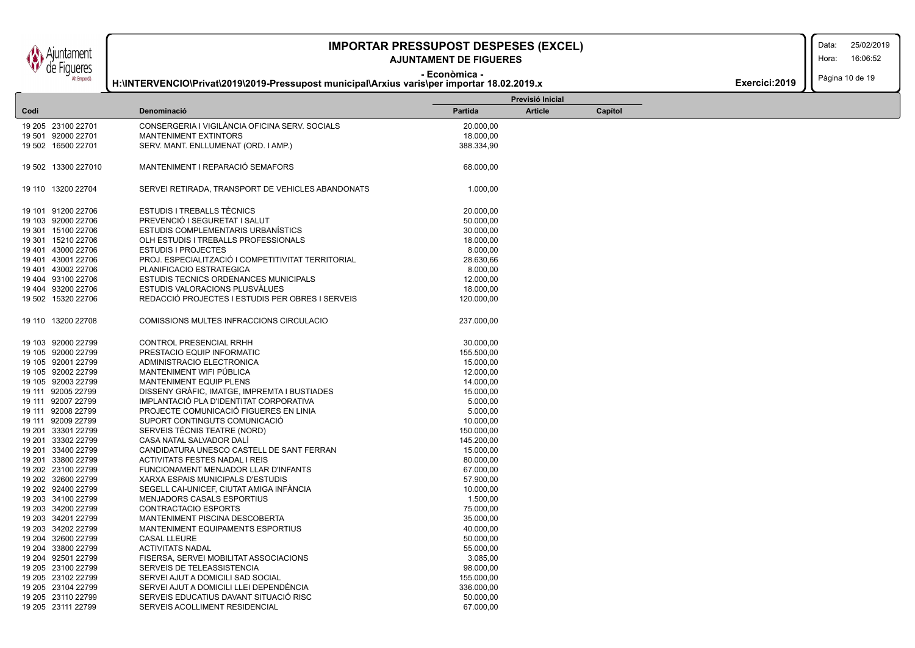Ajuntament de Figueres

# **IMPORTAR PRESSUPOST DESPESES (EXCEL)** 25/02/2019

### **- Econòmica - AJUNTAMENT DE FIGUERES**

**H:\INTERVENCIO\Privat\2019\2019-Pressupost municipal\Arxius varis\per importar 18.02.2019.x**

Data:

Hora: 16:06:52

Pàgina 10 de 19

| Exercici: 2019 |
|----------------|
|----------------|

|      |                     |                                                    |            | Previsió Inicial |         |  |  |
|------|---------------------|----------------------------------------------------|------------|------------------|---------|--|--|
| Codi |                     | Denominació                                        | Partida    | <b>Article</b>   | Capítol |  |  |
|      | 19 205 23100 22701  | CONSERGERIA I VIGILÀNCIA OFICINA SERV. SOCIALS     | 20.000,00  |                  |         |  |  |
|      | 19 501 92000 22701  | <b>MANTENIMENT EXTINTORS</b>                       | 18.000,00  |                  |         |  |  |
|      | 19 502 16500 22701  | SERV. MANT. ENLLUMENAT (ORD. I AMP.)               | 388.334,90 |                  |         |  |  |
|      |                     |                                                    |            |                  |         |  |  |
|      | 19 502 13300 227010 | MANTENIMENT I REPARACIÓ SEMAFORS                   | 68.000,00  |                  |         |  |  |
|      | 19 110 13200 22704  | SERVEI RETIRADA, TRANSPORT DE VEHICLES ABANDONATS  | 1.000,00   |                  |         |  |  |
|      | 19 101 91200 22706  | <b>ESTUDIS I TREBALLS TÈCNICS</b>                  | 20.000,00  |                  |         |  |  |
|      | 19 103 92000 22706  | PREVENCIÓ I SEGURETAT I SALUT                      | 50.000,00  |                  |         |  |  |
|      | 19 301 15100 22706  | <b>ESTUDIS COMPLEMENTARIS URBANISTICS</b>          | 30.000,00  |                  |         |  |  |
|      | 19 301 15210 22706  | OLH ESTUDIS I TREBALLS PROFESSIONALS               | 18.000,00  |                  |         |  |  |
|      | 19 401 43000 22706  | <b>ESTUDIS I PROJECTES</b>                         | 8.000,00   |                  |         |  |  |
|      | 19 401 43001 22706  | PROJ. ESPECIALITZACIÓ I COMPETITIVITAT TERRITORIAL | 28.630,66  |                  |         |  |  |
|      | 19 401 43002 22706  | PLANIFICACIO ESTRATEGICA                           | 8.000,00   |                  |         |  |  |
|      | 19 404 93100 22706  | <b>ESTUDIS TECNICS ORDENANCES MUNICIPALS</b>       | 12.000,00  |                  |         |  |  |
|      | 19 404 93200 22706  | ESTUDIS VALORACIONS PLUSVALUES                     | 18.000,00  |                  |         |  |  |
|      | 19 502 15320 22706  | REDACCIÓ PROJECTES I ESTUDIS PER OBRES I SERVEIS   | 120.000,00 |                  |         |  |  |
|      |                     |                                                    |            |                  |         |  |  |
|      | 19 110 13200 22708  | COMISSIONS MULTES INFRACCIONS CIRCULACIO           | 237.000,00 |                  |         |  |  |
|      | 19 103 92000 22799  | CONTROL PRESENCIAL RRHH                            | 30.000,00  |                  |         |  |  |
|      | 19 105 92000 22799  | PRESTACIO EQUIP INFORMATIC                         | 155.500,00 |                  |         |  |  |
|      | 19 105 92001 22799  | ADMINISTRACIO ELECTRONICA                          | 15.000,00  |                  |         |  |  |
|      | 19 105 92002 22799  | MANTENIMENT WIFI PÚBLICA                           | 12.000,00  |                  |         |  |  |
|      | 19 105 92003 22799  | <b>MANTENIMENT EQUIP PLENS</b>                     | 14.000,00  |                  |         |  |  |
|      | 19 111 92005 22799  | DISSENY GRAFIC, IMATGE, IMPREMTA I BUSTIADES       | 15.000,00  |                  |         |  |  |
|      | 19 111 92007 22799  | IMPLANTACIÓ PLA D'IDENTITAT CORPORATIVA            | 5.000,00   |                  |         |  |  |
|      | 19 111 92008 22799  | PROJECTE COMUNICACIÓ FIGUERES EN LINIA             | 5.000,00   |                  |         |  |  |
|      | 19 111 92009 22799  | SUPORT CONTINGUTS COMUNICACIÓ                      | 10.000,00  |                  |         |  |  |
|      | 19 201 33301 22799  | SERVEIS TÉCNIS TEATRE (NORD)                       | 150.000,00 |                  |         |  |  |
|      | 19 201 33302 22799  | CASA NATAL SALVADOR DALÍ                           | 145.200,00 |                  |         |  |  |
|      | 19 201 33400 22799  | CANDIDATURA UNESCO CASTELL DE SANT FERRAN          | 15.000,00  |                  |         |  |  |
|      | 19 201 33800 22799  | <b>ACTIVITATS FESTES NADAL I REIS</b>              | 80.000,00  |                  |         |  |  |
|      | 19 202 23100 22799  | FUNCIONAMENT MENJADOR LLAR D'INFANTS               | 67.000,00  |                  |         |  |  |
|      | 19 202 32600 22799  | XARXA ESPAIS MUNICIPALS D'ESTUDIS                  | 57.900,00  |                  |         |  |  |
|      | 19 202 92400 22799  | SEGELL CAI-UNICEF, CIUTAT AMIGA INFÀNCIA           | 10.000,00  |                  |         |  |  |
|      | 19 203 34100 22799  | MENJADORS CASALS ESPORTIUS                         | 1.500,00   |                  |         |  |  |
|      | 19 203 34200 22799  | <b>CONTRACTACIO ESPORTS</b>                        | 75.000,00  |                  |         |  |  |
|      | 19 203 34201 22799  | MANTENIMENT PISCINA DESCOBERTA                     | 35.000,00  |                  |         |  |  |
|      | 19 203 34202 22799  | MANTENIMENT EQUIPAMENTS ESPORTIUS                  | 40.000,00  |                  |         |  |  |
|      | 19 204 32600 22799  | <b>CASAL LLEURE</b>                                | 50.000,00  |                  |         |  |  |
|      | 19 204 33800 22799  | <b>ACTIVITATS NADAL</b>                            | 55.000,00  |                  |         |  |  |
|      | 19 204 92501 22799  | FISERSA, SERVEI MOBILITAT ASSOCIACIONS             | 3.085,00   |                  |         |  |  |
|      | 19 205 23100 22799  | SERVEIS DE TELEASSISTENCIA                         | 98.000,00  |                  |         |  |  |
|      | 19 205 23102 22799  | SERVEI AJUT A DOMICILI SAD SOCIAL                  | 155.000,00 |                  |         |  |  |
|      | 19 205 23104 22799  | SERVEI AJUT A DOMICILI LLEI DEPENDÈNCIA            | 336.000,00 |                  |         |  |  |
|      | 19 205 23110 22799  | SERVEIS EDUCATIUS DAVANT SITUACIÓ RISC             | 50.000,00  |                  |         |  |  |
|      | 19 205 23111 22799  | SERVEIS ACOLLIMENT RESIDENCIAL                     | 67.000,00  |                  |         |  |  |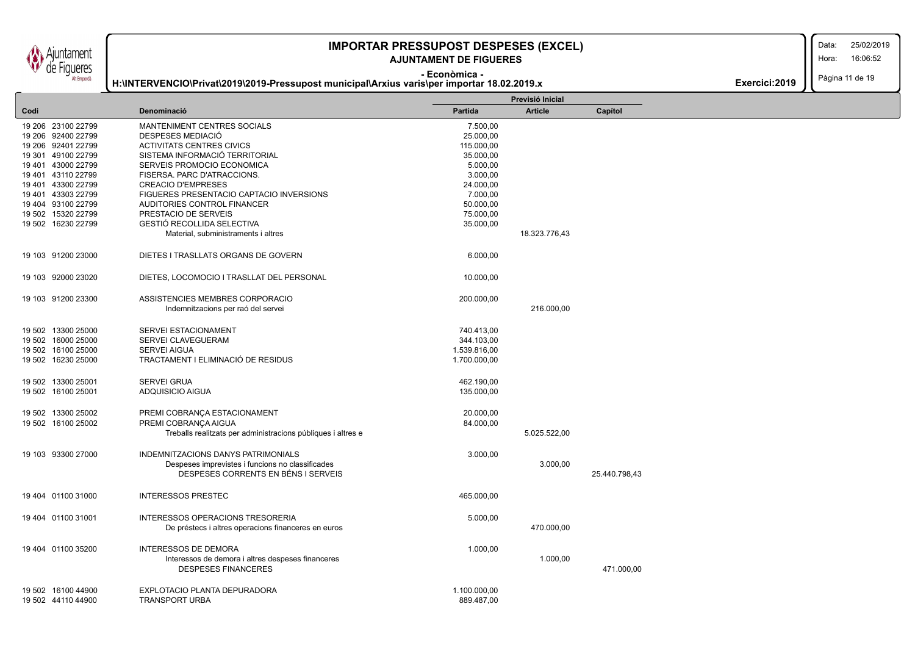Ajuntament de Figueres

## **IMPORTAR PRESSUPOST DESPESES (EXCEL)** 25/02/2019

### **- Econòmica - AJUNTAMENT DE FIGUERES**

**H:\INTERVENCIO\Privat\2019\2019-Pressupost municipal\Arxius varis\per importar 18.02.2019.x**

Data:

Hora: 16:06:52

Pàgina 11 de 19

| Partida<br><b>Article</b><br>Denominació<br>Capítol<br>Codi                  |  |
|------------------------------------------------------------------------------|--|
|                                                                              |  |
| 19 206 23100 22799<br>MANTENIMENT CENTRES SOCIALS<br>7.500,00                |  |
| DESPESES MEDIACIÓ<br>25.000,00<br>19 206 92400 22799                         |  |
| 19 206 92401 22799<br><b>ACTIVITATS CENTRES CIVICS</b><br>115.000,00         |  |
| SISTEMA INFORMACIÓ TERRITORIAL<br>19 301 49100 22799<br>35.000,00            |  |
| 19 401 43000 22799                                                           |  |
| SERVEIS PROMOCIO ECONOMICA<br>5.000,00                                       |  |
| 19 401 43110 22799<br>3.000,00<br>FISERSA. PARC D'ATRACCIONS.                |  |
| 19 401 43300 22799<br><b>CREACIO D'EMPRESES</b><br>24.000,00                 |  |
| 19 401 43303 22799<br>FIGUERES PRESENTACIO CAPTACIO INVERSIONS<br>7.000,00   |  |
| 19 404 93100 22799<br>AUDITORIES CONTROL FINANCER<br>50.000,00               |  |
| 19 502 15320 22799<br>PRESTACIO DE SERVEIS<br>75.000,00                      |  |
| <b>GESTIÓ RECOLLIDA SELECTIVA</b><br>19 502 16230 22799<br>35.000,00         |  |
| Material, subministraments i altres<br>18.323.776,43                         |  |
| 19 103 91200 23000<br>DIETES I TRASLLATS ORGANS DE GOVERN<br>6.000,00        |  |
| 19 103 92000 23020<br>DIETES, LOCOMOCIO I TRASLLAT DEL PERSONAL<br>10.000,00 |  |
| 19 103 91200 23300<br>ASSISTENCIES MEMBRES CORPORACIO<br>200.000,00          |  |
| 216.000,00<br>Indemnitzacions per raó del servei                             |  |
| 19 502 13300 25000<br>SERVEI ESTACIONAMENT<br>740.413,00                     |  |
| 19 502 16000 25000<br>SERVEI CLAVEGUERAM<br>344.103,00                       |  |
| SERVEI AIGUA<br>1.539.816,00<br>19 502 16100 25000                           |  |
| 19 502 16230 25000<br>TRACTAMENT I ELIMINACIÓ DE RESIDUS<br>1.700.000,00     |  |
| 19 502 13300 25001<br><b>SERVEI GRUA</b><br>462.190,00                       |  |
| ADQUISICIO AIGUA<br>19 502 16100 25001<br>135.000,00                         |  |
|                                                                              |  |
| 19 502 13300 25002<br>PREMI COBRANÇA ESTACIONAMENT<br>20.000,00              |  |
| PREMI COBRANÇA AIGUA<br>19 502 16100 25002<br>84.000,00                      |  |
| Treballs realitzats per administracions públiques i altres e<br>5.025.522,00 |  |
|                                                                              |  |
| 19 103 93300 27000<br>INDEMNITZACIONS DANYS PATRIMONIALS<br>3.000,00         |  |
| Despeses imprevistes i funcions no classificades<br>3.000,00                 |  |
| DESPESES CORRENTS EN BÉNS I SERVEIS<br>25.440.798,43                         |  |
| <b>INTERESSOS PRESTEC</b><br>19 404 01100 31000<br>465.000,00                |  |
| INTERESSOS OPERACIONS TRESORERIA<br>5.000,00<br>19 404 01100 31001           |  |
| 470.000,00<br>De préstecs i altres operacions financeres en euros            |  |
|                                                                              |  |
| 19 404 01100 35200<br><b>INTERESSOS DE DEMORA</b><br>1.000,00                |  |
| 1.000,00<br>Interessos de demora i altres despeses financeres                |  |
| <b>DESPESES FINANCERES</b><br>471.000,00                                     |  |
| EXPLOTACIO PLANTA DEPURADORA<br>19 502 16100 44900<br>1.100.000,00           |  |
| <b>TRANSPORT URBA</b><br>889.487,00<br>19 502 44110 44900                    |  |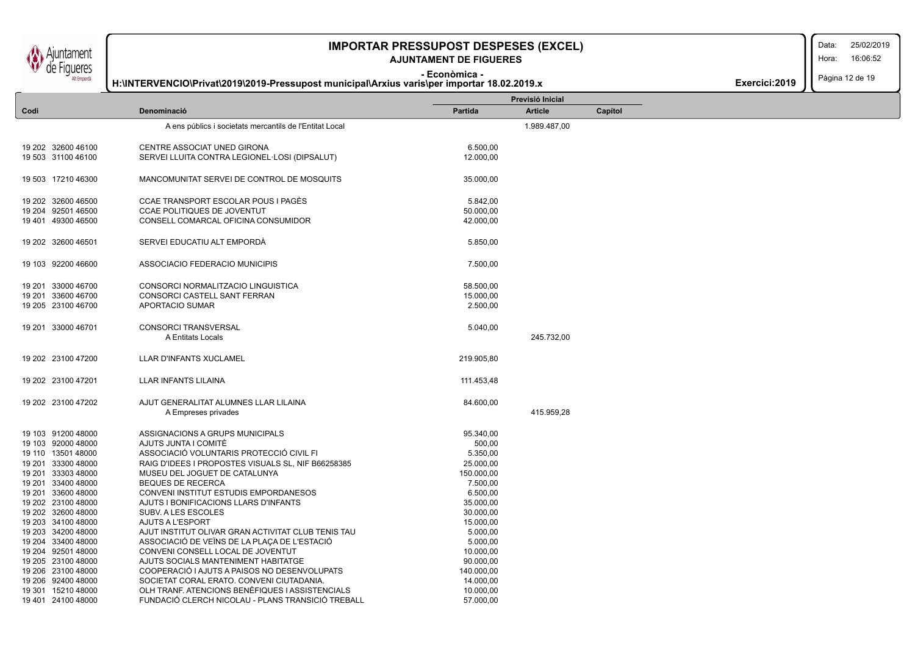#### **- Econòmica - AJUNTAMENT DE FIGUERES**

Data: 25/02/2019

Hora: 16:06:52

Pàgina 12 de 19

**Exercici:2019** 

| LAT FIIIMOINI      | H:\INTERVENCIO\Privat\2019\2019-Pressupost municipal\Arxius varis\per importar 18.02.2019.x |            |                  |         | Exercici: 2019 | , agnia 14 ac 10 |
|--------------------|---------------------------------------------------------------------------------------------|------------|------------------|---------|----------------|------------------|
|                    |                                                                                             |            | Previsió Inicial |         |                |                  |
| Codi               | Denominació                                                                                 | Partida    | <b>Article</b>   | Capítol |                |                  |
|                    | A ens públics i societats mercantils de l'Entitat Local                                     |            | 1.989.487,00     |         |                |                  |
| 19 202 32600 46100 | CENTRE ASSOCIAT UNED GIRONA                                                                 | 6.500,00   |                  |         |                |                  |
| 19 503 31100 46100 | SERVEI LLUITA CONTRA LEGIONEL·LOSI (DIPSALUT)                                               | 12.000,00  |                  |         |                |                  |
| 19 503 17210 46300 | MANCOMUNITAT SERVEI DE CONTROL DE MOSQUITS                                                  | 35.000,00  |                  |         |                |                  |
| 19 202 32600 46500 | CCAE TRANSPORT ESCOLAR POUS I PAGÈS                                                         | 5.842,00   |                  |         |                |                  |
| 19 204 92501 46500 | <b>CCAE POLITIQUES DE JOVENTUT</b>                                                          | 50.000,00  |                  |         |                |                  |
| 19 401 49300 46500 | CONSELL COMARCAL OFICINA CONSUMIDOR                                                         | 42.000,00  |                  |         |                |                  |
| 19 202 32600 46501 | SERVEI EDUCATIU ALT EMPORDÀ                                                                 | 5.850,00   |                  |         |                |                  |
| 19 103 92200 46600 | ASSOCIACIO FEDERACIO MUNICIPIS                                                              | 7.500,00   |                  |         |                |                  |
| 19 201 33000 46700 | CONSORCI NORMALITZACIO LINGUISTICA                                                          | 58.500,00  |                  |         |                |                  |
| 19 201 33600 46700 | CONSORCI CASTELL SANT FERRAN                                                                | 15.000.00  |                  |         |                |                  |
| 19 205 23100 46700 | APORTACIO SUMAR                                                                             | 2.500,00   |                  |         |                |                  |
| 19 201 33000 46701 | <b>CONSORCI TRANSVERSAL</b><br>A Entitats Locals                                            | 5.040,00   | 245.732.00       |         |                |                  |
|                    |                                                                                             |            |                  |         |                |                  |
| 19 202 23100 47200 | LLAR D'INFANTS XUCLAMEL                                                                     | 219.905,80 |                  |         |                |                  |
| 19 202 23100 47201 | LLAR INFANTS LILAINA                                                                        | 111.453,48 |                  |         |                |                  |
| 19 202 23100 47202 | AJUT GENERALITAT ALUMNES LLAR LILAINA<br>A Empreses privades                                | 84.600,00  | 415.959,28       |         |                |                  |
|                    |                                                                                             |            |                  |         |                |                  |
| 19 103 91200 48000 | ASSIGNACIONS A GRUPS MUNICIPALS                                                             | 95.340,00  |                  |         |                |                  |
| 19 103 92000 48000 | AJUTS JUNTA I COMITÈ                                                                        | 500,00     |                  |         |                |                  |
| 19 110 13501 48000 | ASSOCIACIÓ VOLUNTARIS PROTECCIÓ CIVIL FI                                                    | 5.350,00   |                  |         |                |                  |
| 19 201 33300 48000 | RAIG D'IDEES I PROPOSTES VISUALS SL, NIF B66258385                                          | 25.000,00  |                  |         |                |                  |
| 19 201 33303 48000 | MUSEU DEL JOGUET DE CATALUNYA                                                               | 150.000,00 |                  |         |                |                  |
| 19 201 33400 48000 | <b>BEQUES DE RECERCA</b>                                                                    | 7.500,00   |                  |         |                |                  |
| 19 201 33600 48000 | CONVENI INSTITUT ESTUDIS EMPORDANESOS                                                       | 6.500,00   |                  |         |                |                  |
| 19 202 23100 48000 | AJUTS I BONIFICACIONS LLARS D'INFANTS                                                       | 35.000,00  |                  |         |                |                  |
| 19 202 32600 48000 | SUBV. A LES ESCOLES                                                                         | 30.000,00  |                  |         |                |                  |
| 19 203 34100 48000 | AJUTS A L'ESPORT                                                                            | 15.000,00  |                  |         |                |                  |
| 19 203 34200 48000 | AJUT INSTITUT OLIVAR GRAN ACTIVITAT CLUB TENIS TAU                                          | 5.000,00   |                  |         |                |                  |
| 19 204 33400 48000 | ASSOCIACIÓ DE VEÏNS DE LA PLAÇA DE L'ESTACIÓ                                                | 5.000,00   |                  |         |                |                  |
| 19 204 92501 48000 | CONVENI CONSELL LOCAL DE JOVENTUT                                                           | 10.000,00  |                  |         |                |                  |

19 205 23100 48000 AJUTS SOCIALS MANTENIMENT HABITATGE 90.000,00 19 206 23100 48000 COOPERACIÓ I AJUTS A PAISOS NO DESENVOLUPATS 140.000,00 19 206 92400 48000 SOCIETAT CORAL ERATO. CONVENI CIUTADANIA. 14.000,00 19 301 15210 48000 OLH TRANF. ATENCIONS BENÈFIQUES I ASSISTENCIALS 10.000,00 19 401 24100 48000 FUNDACIÓ CLERCH NICOLAU - PLANS TRANSICIÓ TREBALL 57.000,00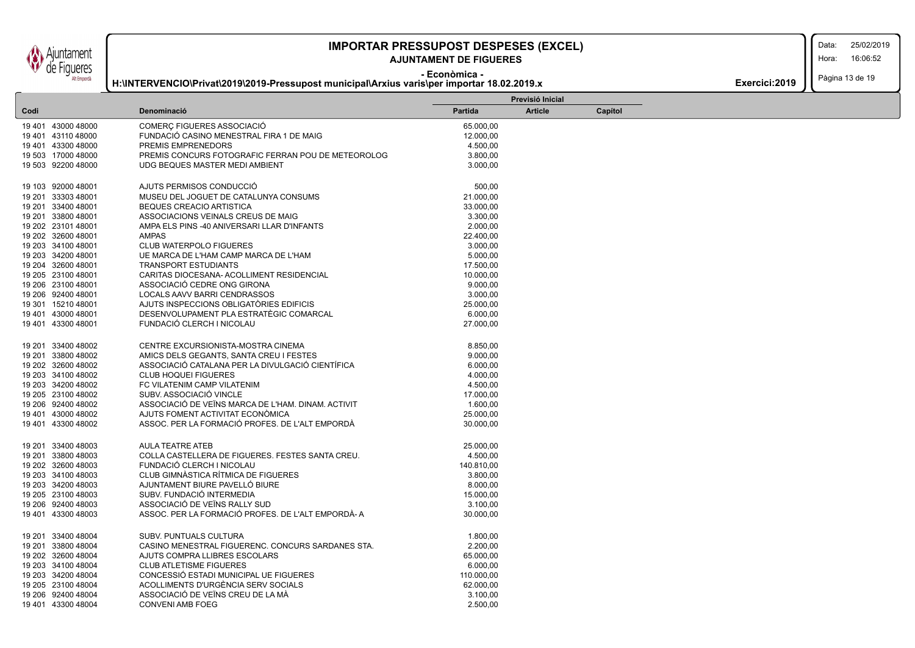juntament de Figueres Alt Empordà

### **IMPORTAR PRESSUPOST DESPESES (EXCEL)** 25/02/2019

### **AJUNTAMENT DE FIGUERES**

Data: 16:06:52

Hora:

**- Econòmica - H:\INTERVENCIO\Privat\2019\2019-Pressupost municipal\Arxius varis\per importar 18.02.2019.x**

Pàgina 13 de 19 **Exercici:2019** 

|      |                    |                                                                                    |                      | Previsió Inicial |         |  |
|------|--------------------|------------------------------------------------------------------------------------|----------------------|------------------|---------|--|
| Codi |                    | Denominació                                                                        | Partida              | <b>Article</b>   | Capítol |  |
|      | 19 401 43000 48000 | COMERÇ FIGUERES ASSOCIACIÓ                                                         | 65.000,00            |                  |         |  |
|      | 19 401 43110 48000 | FUNDACIÓ CASINO MENESTRAL FIRA 1 DE MAIG                                           | 12.000,00            |                  |         |  |
|      | 19 401 43300 48000 | PREMIS EMPRENEDORS                                                                 | 4.500,00             |                  |         |  |
|      | 19 503 17000 48000 | PREMIS CONCURS FOTOGRAFIC FERRAN POU DE METEOROLOG                                 | 3.800,00             |                  |         |  |
|      | 19 503 92200 48000 | UDG BEQUES MASTER MEDI AMBIENT                                                     | 3.000,00             |                  |         |  |
|      |                    |                                                                                    |                      |                  |         |  |
|      | 19 103 92000 48001 | AJUTS PERMISOS CONDUCCIÓ                                                           | 500,00               |                  |         |  |
|      | 19 201 33303 48001 | MUSEU DEL JOGUET DE CATALUNYA CONSUMS                                              | 21.000,00            |                  |         |  |
|      | 19 201 33400 48001 | <b>BEQUES CREACIO ARTISTICA</b>                                                    | 33.000,00            |                  |         |  |
|      | 19 201 33800 48001 | ASSOCIACIONS VEINALS CREUS DE MAIG                                                 | 3.300,00             |                  |         |  |
|      | 19 202 23101 48001 | AMPA ELS PINS -40 ANIVERSARI LLAR D'INFANTS                                        | 2.000,00             |                  |         |  |
|      | 19 202 32600 48001 | <b>AMPAS</b>                                                                       | 22.400,00            |                  |         |  |
|      | 19 203 34100 48001 | <b>CLUB WATERPOLO FIGUERES</b>                                                     | 3.000,00             |                  |         |  |
|      | 19 203 34200 48001 | UE MARCA DE L'HAM CAMP MARCA DE L'HAM                                              | 5.000,00             |                  |         |  |
|      | 19 204 32600 48001 | <b>TRANSPORT ESTUDIANTS</b>                                                        | 17.500,00            |                  |         |  |
|      | 19 205 23100 48001 | CARITAS DIOCESANA- ACOLLIMENT RESIDENCIAL                                          | 10.000,00            |                  |         |  |
|      | 19 206 23100 48001 | ASSOCIACIÓ CEDRE ONG GIRONA                                                        | 9.000,00             |                  |         |  |
|      | 19 206 92400 48001 | LOCALS AAVV BARRI CENDRASSOS                                                       | 3.000,00             |                  |         |  |
|      |                    |                                                                                    |                      |                  |         |  |
|      | 19 301 15210 48001 | AJUTS INSPECCIONS OBLIGATORIES EDIFICIS<br>DESENVOLUPAMENT PLA ESTRATÈGIC COMARCAL | 25.000,00            |                  |         |  |
|      | 19 401 43000 48001 |                                                                                    | 6.000,00             |                  |         |  |
|      | 19 401 43300 48001 | FUNDACIÓ CLERCH I NICOLAU                                                          | 27.000,00            |                  |         |  |
|      | 19 201 33400 48002 | CENTRE EXCURSIONISTA-MOSTRA CINEMA                                                 | 8.850,00             |                  |         |  |
|      | 19 201 33800 48002 | AMICS DELS GEGANTS, SANTA CREU I FESTES                                            | 9.000,00             |                  |         |  |
|      | 19 202 32600 48002 | ASSOCIACIÓ CATALANA PER LA DIVULGACIÓ CIENTÍFICA                                   | 6.000,00             |                  |         |  |
|      | 19 203 34100 48002 | <b>CLUB HOQUEI FIGUERES</b>                                                        | 4.000,00             |                  |         |  |
|      | 19 203 34200 48002 | FC VILATENIM CAMP VILATENIM                                                        | 4.500,00             |                  |         |  |
|      | 19 205 23100 48002 | SUBV. ASSOCIACIÓ VINCLE                                                            | 17.000,00            |                  |         |  |
|      | 19 206 92400 48002 | ASSOCIACIÓ DE VEÏNS MARCA DE L'HAM. DINAM. ACTIVIT                                 | 1.600,00             |                  |         |  |
|      | 19 401 43000 48002 | AJUTS FOMENT ACTIVITAT ECONÓMICA                                                   | 25.000,00            |                  |         |  |
|      | 19 401 43300 48002 | ASSOC. PER LA FORMACIÓ PROFES. DE L'ALT EMPORDÀ                                    | 30.000,00            |                  |         |  |
|      |                    |                                                                                    |                      |                  |         |  |
|      | 19 201 33400 48003 | <b>AULA TEATRE ATEB</b>                                                            | 25.000,00            |                  |         |  |
|      | 19 201 33800 48003 | COLLA CASTELLERA DE FIGUERES. FESTES SANTA CREU.                                   | 4.500,00             |                  |         |  |
|      | 19 202 32600 48003 | FUNDACIÓ CLERCH I NICOLAU                                                          | 140.810,00           |                  |         |  |
|      | 19 203 34100 48003 | CLUB GIMNASTICA RÍTMICA DE FIGUERES                                                | 3.800,00             |                  |         |  |
|      | 19 203 34200 48003 | AJUNTAMENT BIURE PAVELLÓ BIURE                                                     | 8.000,00             |                  |         |  |
|      | 19 205 23100 48003 | SUBV. FUNDACIÓ INTERMEDIA                                                          | 15.000,00            |                  |         |  |
|      | 19 206 92400 48003 | ASSOCIACIÓ DE VEÏNS RALLY SUD                                                      | 3.100,00             |                  |         |  |
|      | 19 401 43300 48003 | ASSOC. PER LA FORMACIÓ PROFES. DE L'ALT EMPORDÀ-A                                  | 30.000,00            |                  |         |  |
|      | 19 201 33400 48004 | SUBV. PUNTUALS CULTURA                                                             | 1.800,00             |                  |         |  |
|      | 19 201 33800 48004 | CASINO MENESTRAL FIGUERENC. CONCURS SARDANES STA.                                  | 2.200,00             |                  |         |  |
|      | 19 202 32600 48004 | AJUTS COMPRA LLIBRES ESCOLARS                                                      | 65.000,00            |                  |         |  |
|      | 19 203 34100 48004 | <b>CLUB ATLETISME FIGUERES</b>                                                     | 6.000,00             |                  |         |  |
|      | 19 203 34200 48004 | CONCESSIÓ ESTADI MUNICIPAL UE FIGUERES                                             | 110.000,00           |                  |         |  |
|      |                    | ACOLLIMENTS D'URGÈNCIA SERV SOCIALS                                                |                      |                  |         |  |
|      | 19 205 23100 48004 | ASSOCIACIÓ DE VEÏNS CREU DE LA MÁ                                                  | 62.000,00            |                  |         |  |
|      | 19 206 92400 48004 | <b>CONVENI AMB FOEG</b>                                                            | 3.100,00<br>2.500.00 |                  |         |  |
|      | 19 401 43300 48004 |                                                                                    |                      |                  |         |  |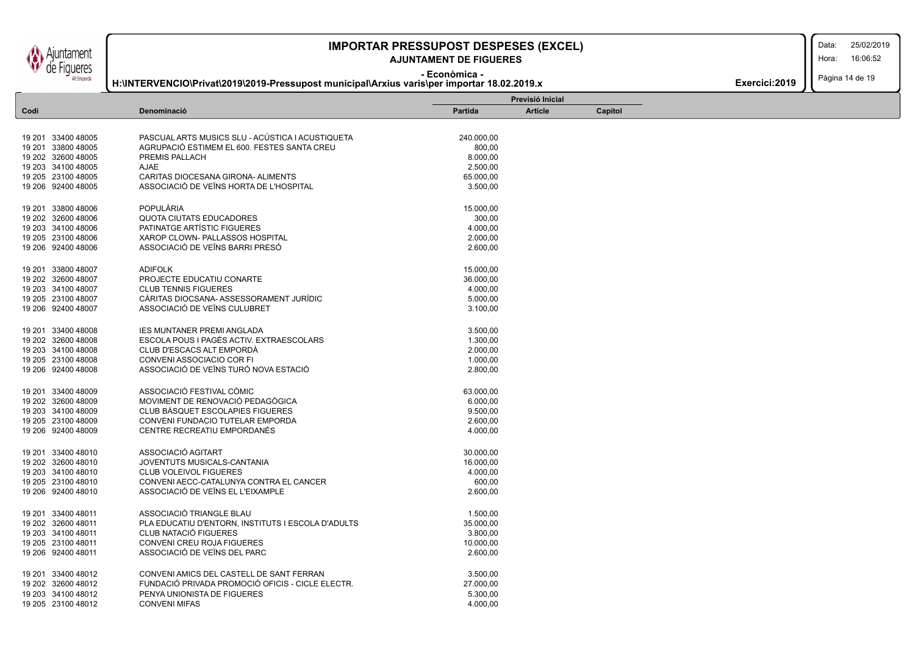### **AJUNTAMENT DE FIGUERES**

Data:

Hora: 16:06:52

**- Econòmica -**

### **H:\INTERVENCIO\Privat\2019\2019-Pressupost municipal\Arxius varis\per importar 18.02.2019.x**

Pàgina 14 de 19 **Exercici:2019** 

|                    |                                                    | Previsió Inicial |                |         |  |  |  |
|--------------------|----------------------------------------------------|------------------|----------------|---------|--|--|--|
| Codi               | Denominació                                        | <b>Partida</b>   | <b>Article</b> | Capítol |  |  |  |
|                    |                                                    |                  |                |         |  |  |  |
| 19 201 33400 48005 | PASCUAL ARTS MUSICS SLU - ACÚSTICA I ACUSTIQUETA   | 240.000,00       |                |         |  |  |  |
| 19 201 33800 48005 | AGRUPACIÓ ESTIMEM EL 600. FESTES SANTA CREU        | 800,00           |                |         |  |  |  |
| 19 202 32600 48005 | PREMIS PALLACH                                     | 8.000,00         |                |         |  |  |  |
| 19 203 34100 48005 | AJAE                                               | 2.500,00         |                |         |  |  |  |
| 19 205 23100 48005 | CARITAS DIOCESANA GIRONA- ALIMENTS                 | 65.000,00        |                |         |  |  |  |
| 19 206 92400 48005 | ASSOCIACIÓ DE VEÏNS HORTA DE L'HOSPITAL            | 3.500,00         |                |         |  |  |  |
|                    |                                                    |                  |                |         |  |  |  |
| 19 201 33800 48006 | <b>POPULARIA</b>                                   | 15.000,00        |                |         |  |  |  |
| 19 202 32600 48006 | <b>QUOTA CIUTATS EDUCADORES</b>                    | 300,00           |                |         |  |  |  |
| 19 203 34100 48006 | PATINATGE ARTÍSTIC FIGUERES                        | 4.000,00         |                |         |  |  |  |
| 19 205 23100 48006 | XAROP CLOWN- PALLASSOS HOSPITAL                    | 2.000,00         |                |         |  |  |  |
| 19 206 92400 48006 | ASSOCIACIÓ DE VEÏNS BARRI PRESÓ                    | 2.600,00         |                |         |  |  |  |
|                    |                                                    |                  |                |         |  |  |  |
| 19 201 33800 48007 | <b>ADIFOLK</b>                                     | 15.000,00        |                |         |  |  |  |
| 19 202 32600 48007 | PROJECTE EDUCATIU CONARTE                          | 36.000,00        |                |         |  |  |  |
| 19 203 34100 48007 | <b>CLUB TENNIS FIGUERES</b>                        | 4.000,00         |                |         |  |  |  |
| 19 205 23100 48007 | CÀRITAS DIOCSANA- ASSESSORAMENT JURÍDIC            | 5.000,00         |                |         |  |  |  |
| 19 206 92400 48007 | ASSOCIACIÓ DE VEÏNS CULUBRET                       | 3.100,00         |                |         |  |  |  |
|                    |                                                    |                  |                |         |  |  |  |
| 19 201 33400 48008 | <b>IES MUNTANER PREMI ANGLADA</b>                  | 3.500,00         |                |         |  |  |  |
| 19 202 32600 48008 | ESCOLA POUS I PAGÈS ACTIV. EXTRAESCOLARS           | 1.300,00         |                |         |  |  |  |
| 19 203 34100 48008 | CLUB D'ESCACS ALT EMPORDÀ                          | 2.000,00         |                |         |  |  |  |
| 19 205 23100 48008 | CONVENI ASSOCIACIO COR FI                          | 1.000,00         |                |         |  |  |  |
| 19 206 92400 48008 | ASSOCIACIÓ DE VEÏNS TURÓ NOVA ESTACIÓ              | 2.800,00         |                |         |  |  |  |
|                    |                                                    |                  |                |         |  |  |  |
| 19 201 33400 48009 | ASSOCIACIÓ FESTIVAL CÒMIC                          | 63.000,00        |                |         |  |  |  |
| 19 202 32600 48009 | MOVIMENT DE RENOVACIÓ PEDAGÒGICA                   | 6.000,00         |                |         |  |  |  |
| 19 203 34100 48009 | CLUB BASQUET ESCOLAPIES FIGUERES                   | 9.500,00         |                |         |  |  |  |
| 19 205 23100 48009 | CONVENI FUNDACIO TUTELAR EMPORDA                   | 2.600,00         |                |         |  |  |  |
| 19 206 92400 48009 | CENTRE RECREATIU EMPORDANÉS                        | 4.000,00         |                |         |  |  |  |
| 19 201 33400 48010 | ASSOCIACIÓ AGITART                                 | 30.000,00        |                |         |  |  |  |
| 19 202 32600 48010 | JOVENTUTS MUSICALS-CANTANIA                        | 16.000,00        |                |         |  |  |  |
|                    |                                                    |                  |                |         |  |  |  |
| 19 203 34100 48010 | <b>CLUB VOLEIVOL FIGUERES</b>                      | 4.000,00         |                |         |  |  |  |
| 19 205 23100 48010 | CONVENI AECC-CATALUNYA CONTRA EL CANCER            | 600,00           |                |         |  |  |  |
| 19 206 92400 48010 | ASSOCIACIÓ DE VEÏNS EL L'EIXAMPLE                  | 2.600,00         |                |         |  |  |  |
| 19 201 33400 48011 | ASSOCIACIÓ TRIANGLE BLAU                           | 1.500,00         |                |         |  |  |  |
| 19 202 32600 48011 | PLA EDUCATIU D'ENTORN, INSTITUTS I ESCOLA D'ADULTS | 35.000,00        |                |         |  |  |  |
| 19 203 34100 48011 | CLUB NATACIÓ FIGUERES                              | 3.800,00         |                |         |  |  |  |
| 19 205 23100 48011 | CONVENI CREU ROJA FIGUERES                         | 10.000,00        |                |         |  |  |  |
| 19 206 92400 48011 | ASSOCIACIÓ DE VEÏNS DEL PARC                       | 2.600,00         |                |         |  |  |  |
|                    |                                                    |                  |                |         |  |  |  |
| 19 201 33400 48012 | CONVENI AMICS DEL CASTELL DE SANT FERRAN           | 3.500,00         |                |         |  |  |  |
| 19 202 32600 48012 | FUNDACIÓ PRIVADA PROMOCIÓ OFICIS - CICLE ELECTR.   | 27.000,00        |                |         |  |  |  |
| 19 203 34100 48012 | PENYA UNIONISTA DE FIGUERES                        | 5.300,00         |                |         |  |  |  |
| 19 205 23100 48012 | <b>CONVENI MIFAS</b>                               | 4.000,00         |                |         |  |  |  |

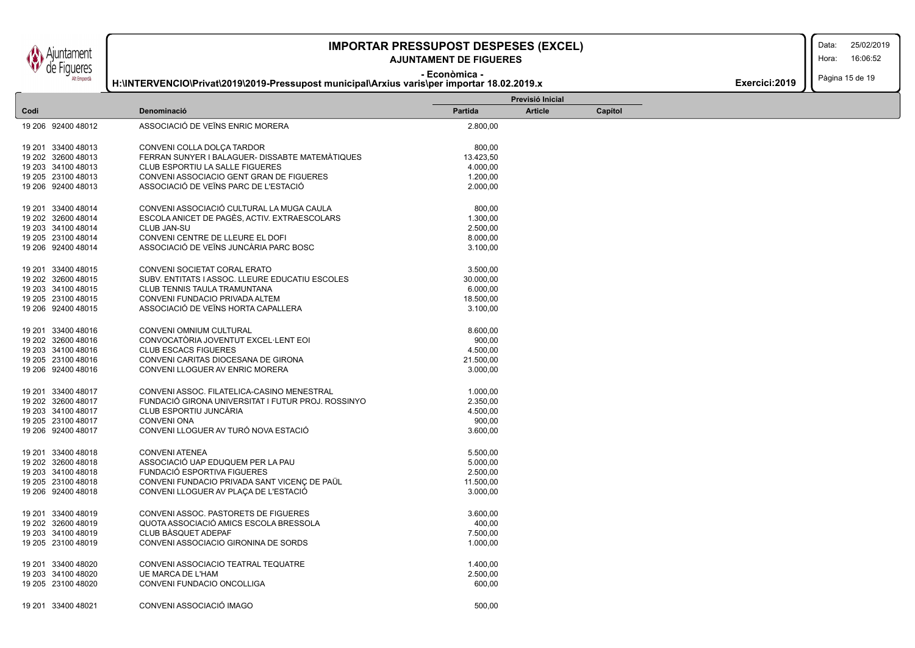untament **Figueres** Alt Empordà

 $\mathsf{L}$ 

### **IMPORTAR PRESSUPOST DESPESES (EXCEL)** 25/02/2019

### **AJUNTAMENT DE FIGUERES**

Hora: 16:06:52

Data:

#### **- Econòmica - H:\INTERVENCIO\Privat\2019\2019-Pressupost municipal\Arxius varis\per importar 18.02.2019.x**

Pàgina 15 de 19 **Exercici:2019** 

|                    |                                                    |           | Previsió Inicial |         |  |  |
|--------------------|----------------------------------------------------|-----------|------------------|---------|--|--|
| Codi               | Denominació                                        | Partida   | <b>Article</b>   | Capítol |  |  |
| 19 206 92400 48012 | ASSOCIACIÓ DE VEÏNS ENRIC MORERA                   | 2.800,00  |                  |         |  |  |
|                    |                                                    |           |                  |         |  |  |
| 19 201 33400 48013 | CONVENI COLLA DOLÇA TARDOR                         | 800,00    |                  |         |  |  |
| 19 202 32600 48013 | FERRAN SUNYER I BALAGUER- DISSABTE MATEMATIQUES    | 13.423,50 |                  |         |  |  |
| 19 203 34100 48013 | <b>CLUB ESPORTIU LA SALLE FIGUERES</b>             | 4.000,00  |                  |         |  |  |
| 19 205 23100 48013 | CONVENI ASSOCIACIO GENT GRAN DE FIGUERES           | 1.200,00  |                  |         |  |  |
| 19 206 92400 48013 | ASSOCIACIÓ DE VEÏNS PARC DE L'ESTACIÓ              | 2.000,00  |                  |         |  |  |
|                    |                                                    |           |                  |         |  |  |
| 19 201 33400 48014 | CONVENI ASSOCIACIÓ CULTURAL LA MUGA CAULA          | 800,00    |                  |         |  |  |
| 19 202 32600 48014 | ESCOLA ANICET DE PAGÈS, ACTIV. EXTRAESCOLARS       | 1.300,00  |                  |         |  |  |
| 19 203 34100 48014 | CLUB JAN-SU                                        | 2.500,00  |                  |         |  |  |
| 19 205 23100 48014 | CONVENI CENTRE DE LLEURE EL DOFI                   | 8.000,00  |                  |         |  |  |
| 19 206 92400 48014 | ASSOCIACIÓ DE VEÏNS JUNCÀRIA PARC BOSC             | 3.100,00  |                  |         |  |  |
|                    |                                                    |           |                  |         |  |  |
| 19 201 33400 48015 | CONVENI SOCIETAT CORAL ERATO                       | 3.500,00  |                  |         |  |  |
| 19 202 32600 48015 | SUBV. ENTITATS I ASSOC. LLEURE EDUCATIU ESCOLES    | 30.000,00 |                  |         |  |  |
| 19 203 34100 48015 | CLUB TENNIS TAULA TRAMUNTANA                       | 6.000,00  |                  |         |  |  |
| 19 205 23100 48015 | CONVENI FUNDACIO PRIVADA ALTEM                     | 18.500,00 |                  |         |  |  |
| 19 206 92400 48015 | ASSOCIACIÓ DE VEÏNS HORTA CAPALLERA                | 3.100,00  |                  |         |  |  |
|                    |                                                    |           |                  |         |  |  |
| 19 201 33400 48016 | CONVENI OMNIUM CULTURAL                            | 8.600,00  |                  |         |  |  |
| 19 202 32600 48016 | CONVOCATÓRIA JOVENTUT EXCEL·LENT EOI               | 900,00    |                  |         |  |  |
| 19 203 34100 48016 | <b>CLUB ESCACS FIGUERES</b>                        | 4.500,00  |                  |         |  |  |
| 19 205 23100 48016 | CONVENI CARITAS DIOCESANA DE GIRONA                | 21.500,00 |                  |         |  |  |
| 19 206 92400 48016 | CONVENI LLOGUER AV ENRIC MORERA                    | 3.000,00  |                  |         |  |  |
|                    |                                                    |           |                  |         |  |  |
| 19 201 33400 48017 | CONVENI ASSOC. FILATELICA-CASINO MENESTRAL         | 1.000,00  |                  |         |  |  |
| 19 202 32600 48017 | FUNDACIÓ GIRONA UNIVERSITAT I FUTUR PROJ. ROSSINYO | 2.350,00  |                  |         |  |  |
| 19 203 34100 48017 | CLUB ESPORTIU JUNCARIA                             | 4.500,00  |                  |         |  |  |
| 19 205 23100 48017 | <b>CONVENI ONA</b>                                 | 900,00    |                  |         |  |  |
| 19 206 92400 48017 | CONVENI LLOGUER AV TURÓ NOVA ESTACIÓ               | 3.600,00  |                  |         |  |  |
|                    |                                                    |           |                  |         |  |  |
| 19 201 33400 48018 | <b>CONVENI ATENEA</b>                              | 5.500,00  |                  |         |  |  |
| 19 202 32600 48018 | ASSOCIACIÓ UAP EDUQUEM PER LA PAU                  | 5.000,00  |                  |         |  |  |
| 19 203 34100 48018 | FUNDACIÓ ESPORTIVA FIGUERES                        | 2.500,00  |                  |         |  |  |
| 19 205 23100 48018 | CONVENI FUNDACIO PRIVADA SANT VICENÇ DE PAÜL       | 11.500,00 |                  |         |  |  |
| 19 206 92400 48018 | CONVENI LLOGUER AV PLAÇA DE L'ESTACIÓ              | 3.000,00  |                  |         |  |  |
|                    |                                                    |           |                  |         |  |  |
| 19 201 33400 48019 | CONVENI ASSOC. PASTORETS DE FIGUERES               | 3.600,00  |                  |         |  |  |
| 19 202 32600 48019 | QUOTA ASSOCIACIÓ AMICS ESCOLA BRESSOLA             | 400,00    |                  |         |  |  |
| 19 203 34100 48019 | CLUB BASQUET ADEPAF                                | 7.500,00  |                  |         |  |  |
| 19 205 23100 48019 | CONVENI ASSOCIACIO GIRONINA DE SORDS               | 1.000,00  |                  |         |  |  |
|                    |                                                    |           |                  |         |  |  |
| 19 201 33400 48020 | CONVENI ASSOCIACIO TEATRAL TEQUATRE                | 1.400,00  |                  |         |  |  |
| 19 203 34100 48020 | <b>UE MARCA DE L'HAM</b>                           | 2.500,00  |                  |         |  |  |
| 19 205 23100 48020 | CONVENI FUNDACIO ONCOLLIGA                         | 600,00    |                  |         |  |  |
|                    |                                                    |           |                  |         |  |  |
| 19 201 33400 48021 | CONVENI ASSOCIACIÓ IMAGO                           | 500.00    |                  |         |  |  |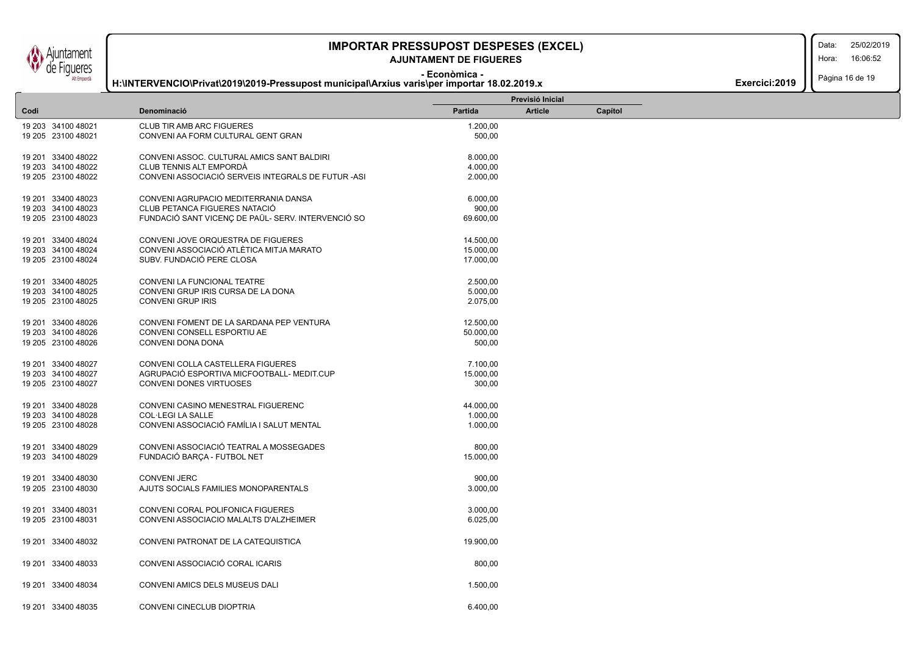### **- Econòmica - AJUNTAMENT DE FIGUERES**

#### Data: Hora: 16:06:52

Pàgina 16 de 19

**H:\INTERVENCIO\Privat\2019\2019-Pressupost municipal\Arxius varis\per importar 18.02.2019.x**

|                    |                                                    |           | Previsió Inicial |         |  |  |
|--------------------|----------------------------------------------------|-----------|------------------|---------|--|--|
| Codi               | Denominació                                        | Partida   | <b>Article</b>   | Capítol |  |  |
| 19 203 34100 48021 | <b>CLUB TIR AMB ARC FIGUERES</b>                   | 1.200,00  |                  |         |  |  |
| 19 205 23100 48021 | CONVENI AA FORM CULTURAL GENT GRAN                 | 500,00    |                  |         |  |  |
|                    |                                                    |           |                  |         |  |  |
| 19 201 33400 48022 | CONVENI ASSOC, CULTURAL AMICS SANT BALDIRI         | 8.000,00  |                  |         |  |  |
| 19 203 34100 48022 | CLUB TENNIS ALT EMPORDÀ                            | 4.000,00  |                  |         |  |  |
| 19 205 23100 48022 | CONVENI ASSOCIACIÓ SERVEIS INTEGRALS DE FUTUR -ASI | 2.000,00  |                  |         |  |  |
|                    |                                                    |           |                  |         |  |  |
| 19 201 33400 48023 | CONVENI AGRUPACIO MEDITERRANIA DANSA               | 6.000,00  |                  |         |  |  |
| 19 203 34100 48023 | CLUB PETANCA FIGUERES NATACIÓ                      | 900,00    |                  |         |  |  |
|                    |                                                    |           |                  |         |  |  |
| 19 205 23100 48023 | FUNDACIÓ SANT VICENÇ DE PAÜL- SERV. INTERVENCIÓ SO | 69.600,00 |                  |         |  |  |
| 19 201 33400 48024 | CONVENI JOVE ORQUESTRA DE FIGUERES                 |           |                  |         |  |  |
|                    | CONVENI ASSOCIACIÓ ATLÈTICA MITJA MARATO           | 14.500,00 |                  |         |  |  |
| 19 203 34100 48024 |                                                    | 15.000,00 |                  |         |  |  |
| 19 205 23100 48024 | SUBV. FUNDACIÓ PERE CLOSA                          | 17.000,00 |                  |         |  |  |
|                    |                                                    |           |                  |         |  |  |
| 19 201 33400 48025 | CONVENI LA FUNCIONAL TEATRE                        | 2.500,00  |                  |         |  |  |
| 19 203 34100 48025 | CONVENI GRUP IRIS CURSA DE LA DONA                 | 5.000,00  |                  |         |  |  |
| 19 205 23100 48025 | CONVENI GRUP IRIS                                  | 2.075,00  |                  |         |  |  |
|                    |                                                    |           |                  |         |  |  |
| 19 201 33400 48026 | CONVENI FOMENT DE LA SARDANA PEP VENTURA           | 12.500,00 |                  |         |  |  |
| 19 203 34100 48026 | CONVENI CONSELL ESPORTIU AE                        | 50.000,00 |                  |         |  |  |
| 19 205 23100 48026 | CONVENI DONA DONA                                  | 500,00    |                  |         |  |  |
| 19 201 33400 48027 | CONVENI COLLA CASTELLERA FIGUERES                  | 7.100,00  |                  |         |  |  |
| 19 203 34100 48027 | AGRUPACIÓ ESPORTIVA MICFOOTBALL- MEDIT.CUP         | 15.000,00 |                  |         |  |  |
|                    |                                                    |           |                  |         |  |  |
| 19 205 23100 48027 | CONVENI DONES VIRTUOSES                            | 300,00    |                  |         |  |  |
| 19 201 33400 48028 | CONVENI CASINO MENESTRAL FIGUERENC                 | 44.000,00 |                  |         |  |  |
| 19 203 34100 48028 | <b>COL·LEGI LA SALLE</b>                           | 1.000,00  |                  |         |  |  |
| 19 205 23100 48028 | CONVENI ASSOCIACIÓ FAMÍLIA I SALUT MENTAL          | 1.000,00  |                  |         |  |  |
|                    |                                                    |           |                  |         |  |  |
| 19 201 33400 48029 | CONVENI ASSOCIACIÓ TEATRAL A MOSSEGADES            | 800,00    |                  |         |  |  |
| 19 203 34100 48029 | FUNDACIÓ BARÇA - FUTBOL NET                        | 15.000,00 |                  |         |  |  |
|                    |                                                    |           |                  |         |  |  |
| 19 201 33400 48030 | <b>CONVENI JERC</b>                                | 900,00    |                  |         |  |  |
| 19 205 23100 48030 | AJUTS SOCIALS FAMILIES MONOPARENTALS               | 3.000,00  |                  |         |  |  |
|                    |                                                    |           |                  |         |  |  |
| 19 201 33400 48031 | CONVENI CORAL POLIFONICA FIGUERES                  | 3.000,00  |                  |         |  |  |
| 19 205 23100 48031 | CONVENI ASSOCIACIO MALALTS D'ALZHEIMER             | 6.025,00  |                  |         |  |  |
|                    |                                                    |           |                  |         |  |  |
| 19 201 33400 48032 | CONVENI PATRONAT DE LA CATEQUISTICA                | 19.900,00 |                  |         |  |  |
|                    |                                                    |           |                  |         |  |  |
| 19 201 33400 48033 | CONVENI ASSOCIACIÓ CORAL ICARIS                    | 800,00    |                  |         |  |  |
|                    |                                                    |           |                  |         |  |  |
| 19 201 33400 48034 | CONVENI AMICS DELS MUSEUS DALI                     | 1.500,00  |                  |         |  |  |
|                    |                                                    |           |                  |         |  |  |
| 19 201 33400 48035 | CONVENI CINECLUB DIOPTRIA                          | 6.400.00  |                  |         |  |  |
|                    |                                                    |           |                  |         |  |  |

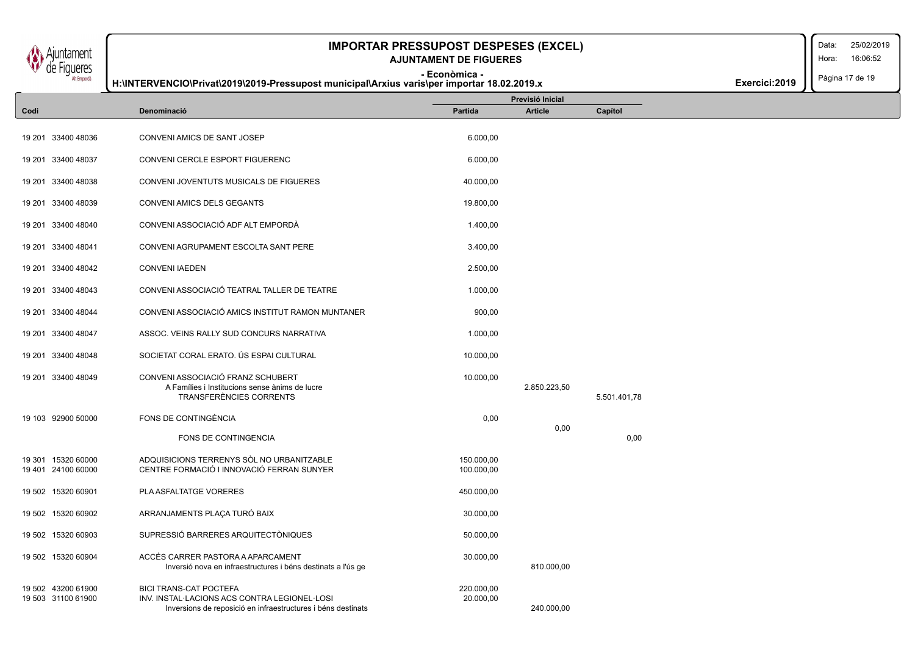Data: Hora: Pàgina 17 de 19 **IMPORTAR PRESSUPOST DESPESES (EXCEL)** 25/02/2019 16:06:52 **Exercici:2019 - Econòmica - AJUNTAMENT DE FIGUERES H:\INTERVENCIO\Privat\2019\2019-Pressupost municipal\Arxius varis\per importar 18.02.2019.x Article Capítol Previsió Inicial Codi Denominació Partida** 19 201 33400 48036 CONVENI AMICS DE SANT JOSEP 6.000,00 19 201 33400 48037 CONVENI CERCLE ESPORT FIGUERENC 6.000,00 19 201 33400 48038 CONVENI JOVENTUTS MUSICALS DE FIGUERES 40.000,00 19 201 33400 48039 CONVENI AMICS DELS GEGANTS 19.800,00 19 201 33400 48040 CONVENI ASSOCIACIÓ ADF ALT EMPORDÀ 1.400,00 19 201 33400 48041 CONVENI AGRUPAMENT ESCOLTA SANT PERE 3.400,00 19 201 33400 48042 CONVENI IAEDEN 2.500,00 19 201 33400 48043 CONVENI ASSOCIACIÓ TEATRAL TALLER DE TEATRE CONVENIDADE 1.000.00 19 201 33400 48044 CONVENI ASSOCIACIÓ AMICS INSTITUT RAMON MUNTANER 900,00 19 201 33400 48047 ASSOC. VEINS RALLY SUD CONCURS NARRATIVA 1.000,00 19 201 33400 48048 SOCIETAT CORAL ERATO. ÚS ESPAI CULTURAL 10.000,00 19 201 33400 48049 CONVENI ASSOCIACIÓ FRANZ SCHUBERT 10.000,000 10.000,00 A Famílies i Institucions sense ànims de lucre 2.850.223,50 TRANSFERÈNCIES CORRENTS 5.501.401,78 19 103 92900 50000 FONS DE CONTINGÈNCIA 0,00 0,00 FONS DE CONTINGENCIA DE LA CONTRADICIÓN EN EL CONTRADO DE LA CONTRADICIÓN DE LA CONTRADICIÓN DE LA CONTRADICIÓN 19 301 15320 60000 ADQUISICIONS TERRENYS SÒL NO URBANITZABLE 150.000,00 19 401 24100 60000 CENTRE FORMACIÓ I INNOVACIÓ FERRAN SUNYER 100.000,00 19 502 15320 60901 PLA ASFALTATGE VORERES 450.000,00 19 502 15320 60902 ARRANJAMENTS PLAÇA TURÓ BAIX 30.000,00 19 502 15320 60903 SUPRESSIÓ BARRERES ARQUITECTÒNIQUES 50.000,00 19 502 15320 60904 ACCÉS CARRER PASTORA A APARCAMENT 30.000,00 Inversió nova en infraestructures i béns destinats a l'ús ge 810.000,000 en 1982. 19 502 43200 61900 BICI TRANS-CAT POCTEFA 220.000,00 19 503 31100 61900 INV. INSTAL·LACIONS ACS CONTRA LEGIONEL·LOSI 20.000,00 Inversions de reposició en infraestructures i béns destinats 240.000,00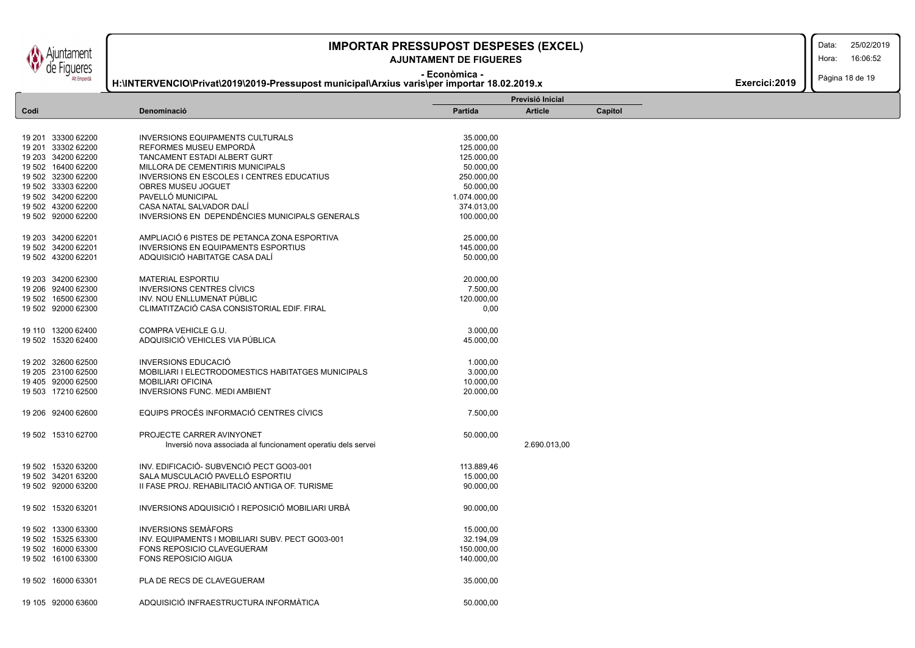**IMPORTAR PRESSUPOST DESPESES (EXCEL)** 25/02/2019 Data: 16:06:52 **AJUNTAMENT DE FIGUERES** Hora: Fiaueres **- Econòmica -** Pàgina 18 de 19 **H:\INTERVENCIO\Privat\2019\2019-Pressupost municipal\Arxius varis\per importar 18.02.2019.x Exercici:2019 Previsió Inicial Article Capítol Codi Denominació Partida** 19 201 33300 62200 INVERSIONS EQUIPAMENTS CULTURALS 35.000,00 19 201 33302 62200 REFORMES MUSEU EMPORDÀ 125.000,00 19 203 34200 62200 TANCAMENT ESTADI ALBERT GURT 125.000,00 19 502 16400 62200 MILLORA DE CEMENTIRIS MUNICIPALS 50.000,00 19 502 32300 62200 INVERSIONS EN ESCOLES I CENTRES EDUCATIUS 250.000,00 19 502 33303 62200 OBRES MUSEU JOGUET 50.000,00 19 502 34200 62200 PAVELLÓ MUNICIPAL 1.074.000,00 19 502 43200 62200 CASA NATAL SALVADOR DALÍ 374.013,00 19 502 92000 62200 INVERSIONS EN DEPENDÈNCIES MUNICIPALS GENERALS 100.000,00 19 203 34200 62201 AMPLIACIÓ 6 PISTES DE PETANCA ZONA ESPORTIVA 25.000,00 19 502 34200 62201 INVERSIONS EN EQUIPAMENTS ESPORTIUS 145.000,00 19 502 43200 62201 ADQUISICIÓ HABITATGE CASA DALÍ 50.000,00 19 203 34200 62300 MATERIAL ESPORTIU 20.000,00 19 206 92400 62300 INVERSIONS CENTRES CÍVICS 7.500,00 19 502 16500 62300 INV. NOU ENLLUMENAT PÚBLIC 120.000,00 19 502 92000 62300 CLIMATITZACIÓ CASA CONSISTORIAL EDIF. FIRAL 0,00 19 110 13200 62400 COMPRA VEHICLE G.U. 3.000,00 19 502 15320 62400 ADQUISICIÓ VEHICLES VIA PÚBLICA 45.000,00 19 202 32600 62500 INVERSIONS EDUCACIÓ 1.000,00 19 205 23100 62500 MOBILIARI I ELECTRODOMESTICS HABITATGES MUNICIPALS 3.000,00 19 405 92000 62500 MOBILIARI OFICINA 10.000,00 19 503 17210 62500 INVERSIONS FUNC. MEDI AMBIENT 20.000,00 19 206 92400 62600 EQUIPS PROCÉS INFORMACIÓ CENTRES CÍVICS 7.500,00

| 19 502 | 15310 62700        | PROJECTE CARRER AVINYONET                                    | 50.000,00  |              |
|--------|--------------------|--------------------------------------------------------------|------------|--------------|
|        |                    | Inversió nova associada al funcionament operatiu dels servei |            | 2.690.013,00 |
| 19 502 | 15320 63200        | INV. EDIFICACIÓ- SUBVENCIÓ PECT GO03-001                     | 113.889,46 |              |
|        | 19 502 34201 63200 | SALA MUSCULACIÓ PAVELLÓ ESPORTIU                             | 15.000,00  |              |
| 19 502 | 92000 63200        | II FASE PROJ. REHABILITACIÓ ANTIGA OF. TURISME               | 90.000,00  |              |
| 19 502 | 15320 63201        | INVERSIONS ADQUISICIÓ I REPOSICIÓ MOBILIARI URBÀ             | 90.000.00  |              |
| 19 502 | 13300 63300        | <b>INVERSIONS SEMAFORS</b>                                   | 15.000,00  |              |
| 19 502 | 15325 63300        | INV. EQUIPAMENTS I MOBILIARI SUBV. PECT GO03-001             | 32.194,09  |              |
| 19 502 | 16000 63300        | FONS REPOSICIO CLAVEGUERAM                                   | 150.000,00 |              |
| 19 502 | 16100 63300        | <b>FONS REPOSICIO AIGUA</b>                                  | 140.000,00 |              |
| 19 502 | 16000 63301        | PLA DE RECS DE CLAVEGUERAM                                   | 35.000.00  |              |
|        | 19 105 92000 63600 | ADOUISICIÓ INFRAESTRUCTURA INFORMÀTICA                       | 50,000,00  |              |